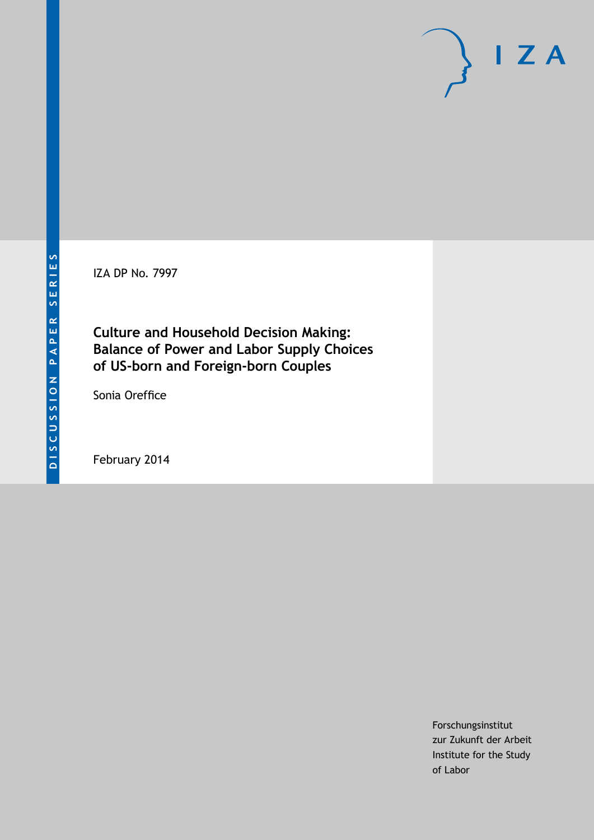**DISCUSSION PAPER SERIES**

DISCUSSION PAPER SERIES

IZA DP No. 7997

**Culture and Household Decision Making: Balance of Power and Labor Supply Choices of US-born and Foreign-born Couples**

Sonia Oreffice

February 2014

Forschungsinstitut zur Zukunft der Arbeit Institute for the Study of Labor

 $I Z A$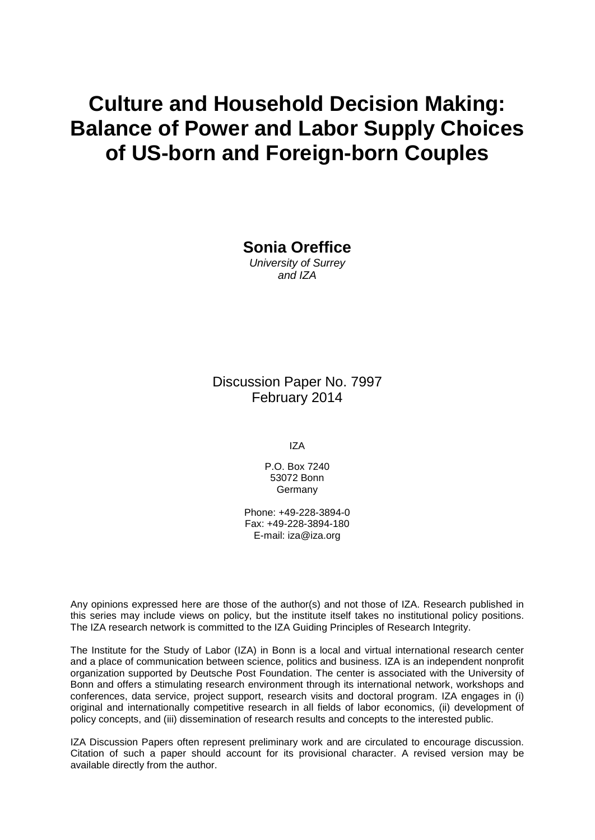# **Culture and Household Decision Making: Balance of Power and Labor Supply Choices of US-born and Foreign-born Couples**

**Sonia Oreffice**

*University of Surrey and IZA*

Discussion Paper No. 7997 February 2014

IZA

P.O. Box 7240 53072 Bonn Germany

Phone: +49-228-3894-0 Fax: +49-228-3894-180 E-mail: [iza@iza.org](mailto:iza@iza.org)

Any opinions expressed here are those of the author(s) and not those of IZA. Research published in this series may include views on policy, but the institute itself takes no institutional policy positions. The IZA research network is committed to the IZA Guiding Principles of Research Integrity.

The Institute for the Study of Labor (IZA) in Bonn is a local and virtual international research center and a place of communication between science, politics and business. IZA is an independent nonprofit organization supported by Deutsche Post Foundation. The center is associated with the University of Bonn and offers a stimulating research environment through its international network, workshops and conferences, data service, project support, research visits and doctoral program. IZA engages in (i) original and internationally competitive research in all fields of labor economics, (ii) development of policy concepts, and (iii) dissemination of research results and concepts to the interested public.

<span id="page-1-0"></span>IZA Discussion Papers often represent preliminary work and are circulated to encourage discussion. Citation of such a paper should account for its provisional character. A revised version may be available directly from the author.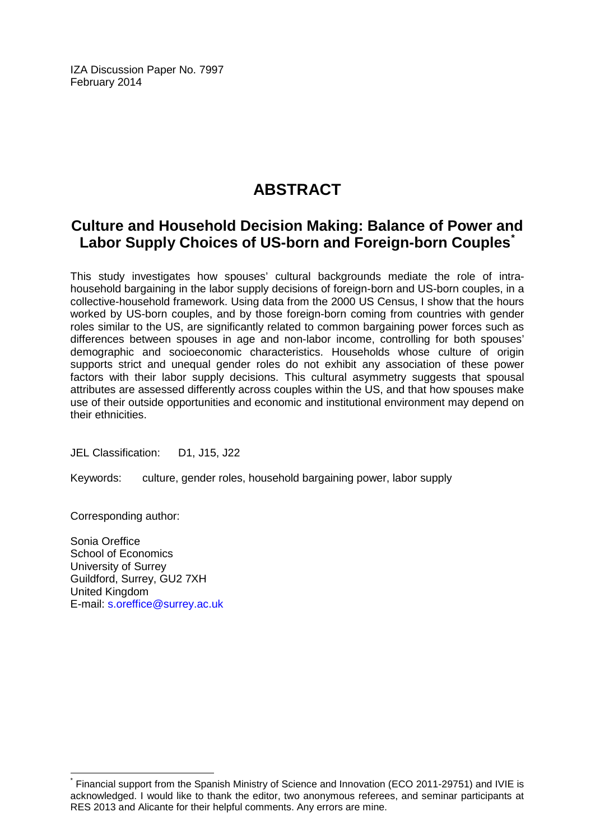IZA Discussion Paper No. 7997 February 2014

## **ABSTRACT**

## **Culture and Household Decision Making: Balance of Power and Labor Supply Choices of US-born and Foreign-born Couples[\\*](#page-1-0)**

This study investigates how spouses' cultural backgrounds mediate the role of intrahousehold bargaining in the labor supply decisions of foreign-born and US-born couples, in a collective-household framework. Using data from the 2000 US Census, I show that the hours worked by US-born couples, and by those foreign-born coming from countries with gender roles similar to the US, are significantly related to common bargaining power forces such as differences between spouses in age and non-labor income, controlling for both spouses' demographic and socioeconomic characteristics. Households whose culture of origin supports strict and unequal gender roles do not exhibit any association of these power factors with their labor supply decisions. This cultural asymmetry suggests that spousal attributes are assessed differently across couples within the US, and that how spouses make use of their outside opportunities and economic and institutional environment may depend on their ethnicities.

JEL Classification: D1, J15, J22

Keywords: culture, gender roles, household bargaining power, labor supply

Corresponding author:

Sonia Oreffice School of Economics University of Surrey Guildford, Surrey, GU2 7XH United Kingdom E-mail: [s.oreffice@surrey.ac.uk](mailto:s.oreffice@surrey.ac.uk)

\* Financial support from the Spanish Ministry of Science and Innovation (ECO 2011-29751) and IVIE is acknowledged. I would like to thank the editor, two anonymous referees, and seminar participants at RES 2013 and Alicante for their helpful comments. Any errors are mine.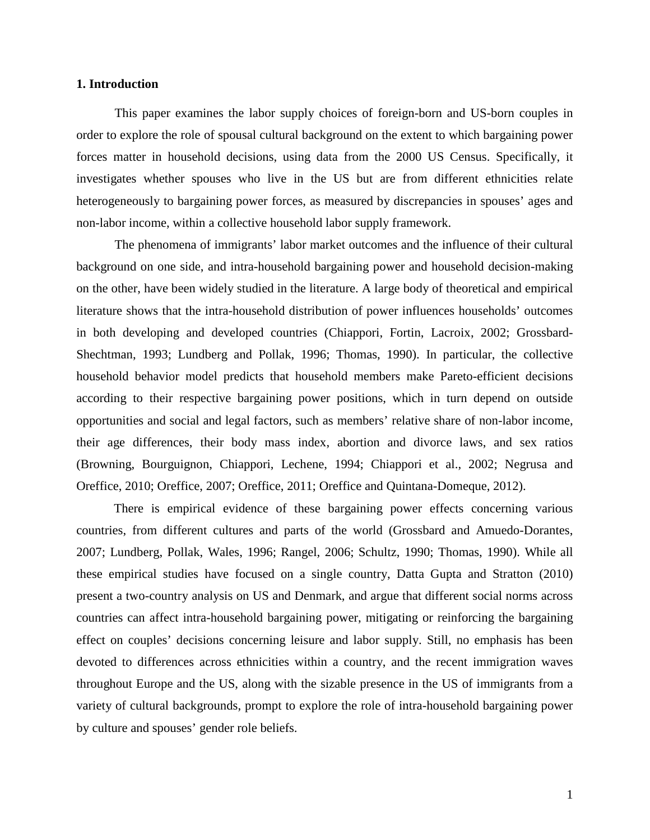#### **1. Introduction**

This paper examines the labor supply choices of foreign-born and US-born couples in order to explore the role of spousal cultural background on the extent to which bargaining power forces matter in household decisions, using data from the 2000 US Census. Specifically, it investigates whether spouses who live in the US but are from different ethnicities relate heterogeneously to bargaining power forces, as measured by discrepancies in spouses' ages and non-labor income, within a collective household labor supply framework.

The phenomena of immigrants' labor market outcomes and the influence of their cultural background on one side, and intra-household bargaining power and household decision-making on the other, have been widely studied in the literature. A large body of theoretical and empirical literature shows that the intra-household distribution of power influences households' outcomes in both developing and developed countries (Chiappori, Fortin, Lacroix, 2002; Grossbard-Shechtman, 1993; Lundberg and Pollak, 1996; Thomas, 1990). In particular, the collective household behavior model predicts that household members make Pareto-efficient decisions according to their respective bargaining power positions, which in turn depend on outside opportunities and social and legal factors, such as members' relative share of non-labor income, their age differences, their body mass index, abortion and divorce laws, and sex ratios (Browning, Bourguignon, Chiappori, Lechene, 1994; Chiappori et al., 2002; Negrusa and Oreffice, 2010; Oreffice, 2007; Oreffice, 2011; Oreffice and Quintana-Domeque, 2012).

There is empirical evidence of these bargaining power effects concerning various countries, from different cultures and parts of the world (Grossbard and Amuedo-Dorantes, 2007; Lundberg, Pollak, Wales, 1996; Rangel, 2006; Schultz, 1990; Thomas, 1990). While all these empirical studies have focused on a single country, Datta Gupta and Stratton (2010) present a two-country analysis on US and Denmark, and argue that different social norms across countries can affect intra-household bargaining power, mitigating or reinforcing the bargaining effect on couples' decisions concerning leisure and labor supply. Still, no emphasis has been devoted to differences across ethnicities within a country, and the recent immigration waves throughout Europe and the US, along with the sizable presence in the US of immigrants from a variety of cultural backgrounds, prompt to explore the role of intra-household bargaining power by culture and spouses' gender role beliefs.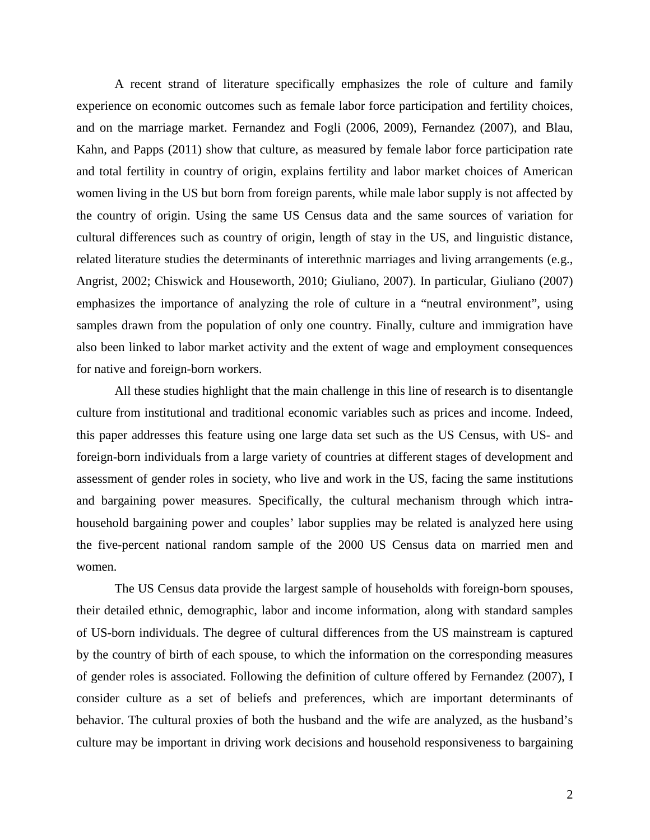A recent strand of literature specifically emphasizes the role of culture and family experience on economic outcomes such as female labor force participation and fertility choices, and on the marriage market. Fernandez and Fogli (2006, 2009), Fernandez (2007), and Blau, Kahn, and Papps (2011) show that culture, as measured by female labor force participation rate and total fertility in country of origin, explains fertility and labor market choices of American women living in the US but born from foreign parents, while male labor supply is not affected by the country of origin. Using the same US Census data and the same sources of variation for cultural differences such as country of origin, length of stay in the US, and linguistic distance, related literature studies the determinants of interethnic marriages and living arrangements (e.g., Angrist, 2002; Chiswick and Houseworth, 2010; Giuliano, 2007). In particular, Giuliano (2007) emphasizes the importance of analyzing the role of culture in a "neutral environment", using samples drawn from the population of only one country. Finally, culture and immigration have also been linked to labor market activity and the extent of wage and employment consequences for native and foreign-born workers.

All these studies highlight that the main challenge in this line of research is to disentangle culture from institutional and traditional economic variables such as prices and income. Indeed, this paper addresses this feature using one large data set such as the US Census, with US- and foreign-born individuals from a large variety of countries at different stages of development and assessment of gender roles in society, who live and work in the US, facing the same institutions and bargaining power measures. Specifically, the cultural mechanism through which intrahousehold bargaining power and couples' labor supplies may be related is analyzed here using the five-percent national random sample of the 2000 US Census data on married men and women.

The US Census data provide the largest sample of households with foreign-born spouses, their detailed ethnic, demographic, labor and income information, along with standard samples of US-born individuals. The degree of cultural differences from the US mainstream is captured by the country of birth of each spouse, to which the information on the corresponding measures of gender roles is associated. Following the definition of culture offered by Fernandez (2007), I consider culture as a set of beliefs and preferences, which are important determinants of behavior. The cultural proxies of both the husband and the wife are analyzed, as the husband's culture may be important in driving work decisions and household responsiveness to bargaining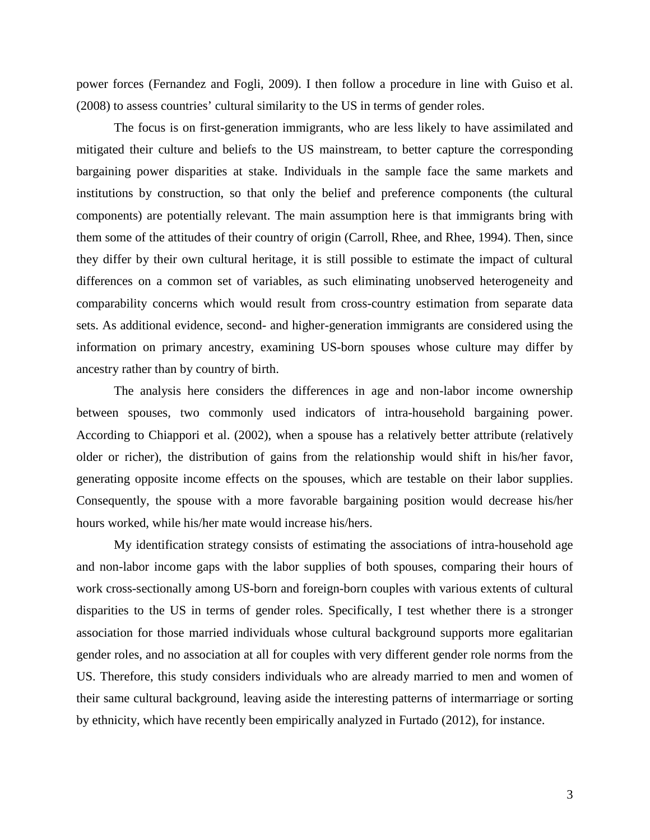power forces (Fernandez and Fogli, 2009). I then follow a procedure in line with Guiso et al. (2008) to assess countries' cultural similarity to the US in terms of gender roles.

The focus is on first-generation immigrants, who are less likely to have assimilated and mitigated their culture and beliefs to the US mainstream, to better capture the corresponding bargaining power disparities at stake. Individuals in the sample face the same markets and institutions by construction, so that only the belief and preference components (the cultural components) are potentially relevant. The main assumption here is that immigrants bring with them some of the attitudes of their country of origin (Carroll, Rhee, and Rhee, 1994). Then, since they differ by their own cultural heritage, it is still possible to estimate the impact of cultural differences on a common set of variables, as such eliminating unobserved heterogeneity and comparability concerns which would result from cross-country estimation from separate data sets. As additional evidence, second- and higher-generation immigrants are considered using the information on primary ancestry, examining US-born spouses whose culture may differ by ancestry rather than by country of birth.

The analysis here considers the differences in age and non-labor income ownership between spouses, two commonly used indicators of intra-household bargaining power. According to Chiappori et al. (2002), when a spouse has a relatively better attribute (relatively older or richer), the distribution of gains from the relationship would shift in his/her favor, generating opposite income effects on the spouses, which are testable on their labor supplies. Consequently, the spouse with a more favorable bargaining position would decrease his/her hours worked, while his/her mate would increase his/hers.

My identification strategy consists of estimating the associations of intra-household age and non-labor income gaps with the labor supplies of both spouses, comparing their hours of work cross-sectionally among US-born and foreign-born couples with various extents of cultural disparities to the US in terms of gender roles. Specifically, I test whether there is a stronger association for those married individuals whose cultural background supports more egalitarian gender roles, and no association at all for couples with very different gender role norms from the US. Therefore, this study considers individuals who are already married to men and women of their same cultural background, leaving aside the interesting patterns of intermarriage or sorting by ethnicity, which have recently been empirically analyzed in Furtado (2012), for instance.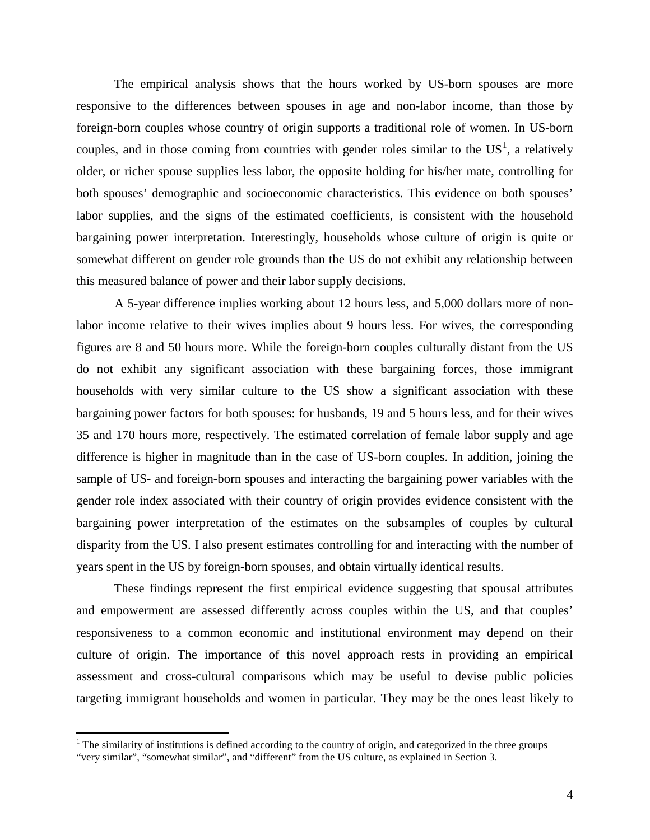The empirical analysis shows that the hours worked by US-born spouses are more responsive to the differences between spouses in age and non-labor income, than those by foreign-born couples whose country of origin supports a traditional role of women. In US-born couples, and in those coming from countries with gender roles similar to the  $US^1$  $US^1$ , a relatively older, or richer spouse supplies less labor, the opposite holding for his/her mate, controlling for both spouses' demographic and socioeconomic characteristics. This evidence on both spouses' labor supplies, and the signs of the estimated coefficients, is consistent with the household bargaining power interpretation. Interestingly, households whose culture of origin is quite or somewhat different on gender role grounds than the US do not exhibit any relationship between this measured balance of power and their labor supply decisions.

A 5-year difference implies working about 12 hours less, and 5,000 dollars more of nonlabor income relative to their wives implies about 9 hours less. For wives, the corresponding figures are 8 and 50 hours more. While the foreign-born couples culturally distant from the US do not exhibit any significant association with these bargaining forces, those immigrant households with very similar culture to the US show a significant association with these bargaining power factors for both spouses: for husbands, 19 and 5 hours less, and for their wives 35 and 170 hours more, respectively. The estimated correlation of female labor supply and age difference is higher in magnitude than in the case of US-born couples. In addition, joining the sample of US- and foreign-born spouses and interacting the bargaining power variables with the gender role index associated with their country of origin provides evidence consistent with the bargaining power interpretation of the estimates on the subsamples of couples by cultural disparity from the US. I also present estimates controlling for and interacting with the number of years spent in the US by foreign-born spouses, and obtain virtually identical results.

These findings represent the first empirical evidence suggesting that spousal attributes and empowerment are assessed differently across couples within the US, and that couples' responsiveness to a common economic and institutional environment may depend on their culture of origin. The importance of this novel approach rests in providing an empirical assessment and cross-cultural comparisons which may be useful to devise public policies targeting immigrant households and women in particular. They may be the ones least likely to

 $\overline{a}$ 

<span id="page-6-0"></span> $<sup>1</sup>$  The similarity of institutions is defined according to the country of origin, and categorized in the three groups</sup> "very similar", "somewhat similar", and "different" from the US culture, as explained in Section 3.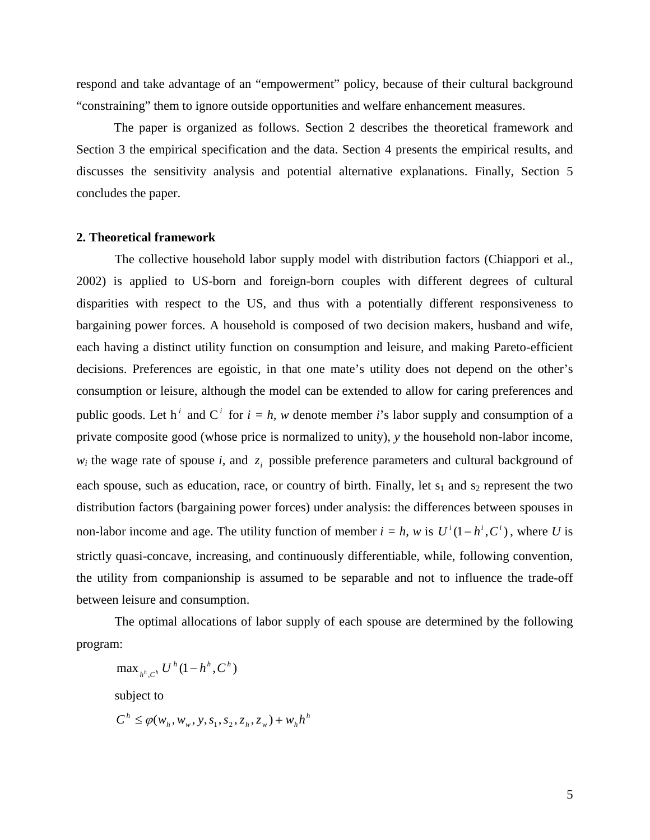respond and take advantage of an "empowerment" policy, because of their cultural background "constraining" them to ignore outside opportunities and welfare enhancement measures.

The paper is organized as follows. Section 2 describes the theoretical framework and Section 3 the empirical specification and the data. Section 4 presents the empirical results, and discusses the sensitivity analysis and potential alternative explanations. Finally, Section 5 concludes the paper.

#### **2. Theoretical framework**

The collective household labor supply model with distribution factors (Chiappori et al., 2002) is applied to US-born and foreign-born couples with different degrees of cultural disparities with respect to the US, and thus with a potentially different responsiveness to bargaining power forces. A household is composed of two decision makers, husband and wife, each having a distinct utility function on consumption and leisure, and making Pareto-efficient decisions. Preferences are egoistic, in that one mate's utility does not depend on the other's consumption or leisure, although the model can be extended to allow for caring preferences and public goods. Let h<sup>*i*</sup> and C<sup>*i*</sup> for  $i = h$ , w denote member *i*'s labor supply and consumption of a private composite good (whose price is normalized to unity), *y* the household non-labor income,  $w_i$  the wage rate of spouse *i*, and  $z_i$  possible preference parameters and cultural background of each spouse, such as education, race, or country of birth. Finally, let  $s_1$  and  $s_2$  represent the two distribution factors (bargaining power forces) under analysis: the differences between spouses in non-labor income and age. The utility function of member  $i = h$ , w is  $U^{i} (1 - h^{i}, C^{i})$ , where U is strictly quasi-concave, increasing, and continuously differentiable, while, following convention, the utility from companionship is assumed to be separable and not to influence the trade-off between leisure and consumption.

The optimal allocations of labor supply of each spouse are determined by the following program:

 $\max_{h^h, C^h} U^h (1 - h^h, C^h)$ subject to *h*  $C^h \le \varphi(w_h, w_w, y, s_1, s_2, z_h, z_w) + w_h h$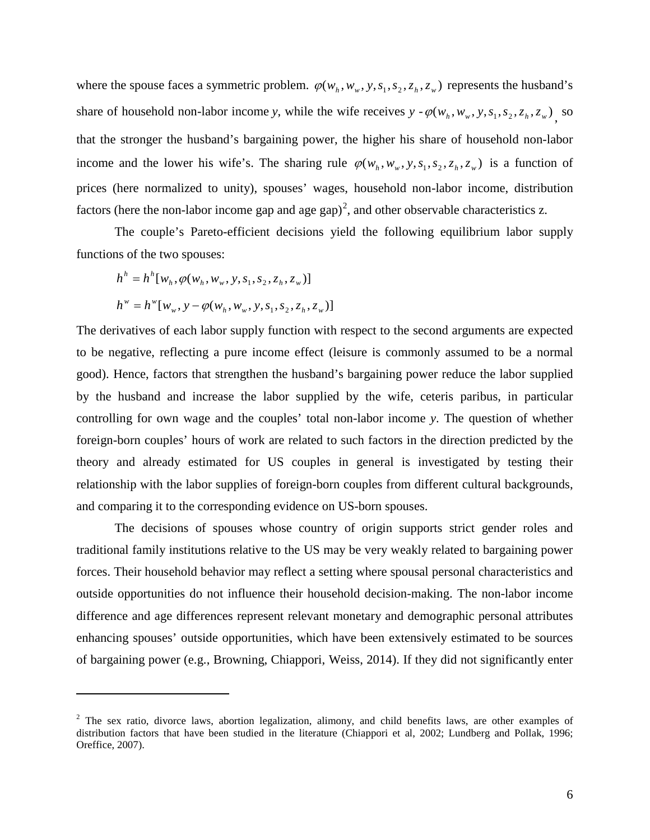where the spouse faces a symmetric problem.  $\varphi(w_h, w_w, y, s_1, s_2, z_h, z_w)$  represents the husband's share of household non-labor income *y*, while the wife receives  $y - \varphi(w_h, w_w, y, s_1, s_2, z_h, z_w)$  so that the stronger the husband's bargaining power, the higher his share of household non-labor income and the lower his wife's. The sharing rule  $\varphi(w_h, w_w, y, s_1, s_2, z_h, z_w)$  is a function of prices (here normalized to unity), spouses' wages, household non-labor income, distribution factors (here the non-labor income gap and age gap)<sup>[2](#page-8-0)</sup>, and other observable characteristics z.

The couple's Pareto-efficient decisions yield the following equilibrium labor supply functions of the two spouses:

$$
h^{h} = h^{h}[w_{h}, \varphi(w_{h}, w_{w}, y, s_{1}, s_{2}, z_{h}, z_{w})]
$$
  

$$
h^{w} = h^{w}[w_{w}, y - \varphi(w_{h}, w_{w}, y, s_{1}, s_{2}, z_{h}, z_{w})]
$$

 $\overline{a}$ 

The derivatives of each labor supply function with respect to the second arguments are expected to be negative, reflecting a pure income effect (leisure is commonly assumed to be a normal good). Hence, factors that strengthen the husband's bargaining power reduce the labor supplied by the husband and increase the labor supplied by the wife, ceteris paribus, in particular controlling for own wage and the couples' total non-labor income *y*. The question of whether foreign-born couples' hours of work are related to such factors in the direction predicted by the theory and already estimated for US couples in general is investigated by testing their relationship with the labor supplies of foreign-born couples from different cultural backgrounds, and comparing it to the corresponding evidence on US-born spouses.

The decisions of spouses whose country of origin supports strict gender roles and traditional family institutions relative to the US may be very weakly related to bargaining power forces. Their household behavior may reflect a setting where spousal personal characteristics and outside opportunities do not influence their household decision-making. The non-labor income difference and age differences represent relevant monetary and demographic personal attributes enhancing spouses' outside opportunities, which have been extensively estimated to be sources of bargaining power (e.g., Browning, Chiappori, Weiss, 2014). If they did not significantly enter

<span id="page-8-0"></span><sup>&</sup>lt;sup>2</sup> The sex ratio, divorce laws, abortion legalization, alimony, and child benefits laws, are other examples of distribution factors that have been studied in the literature (Chiappori et al, 2002; Lundberg and Pollak, 1996; Oreffice, 2007).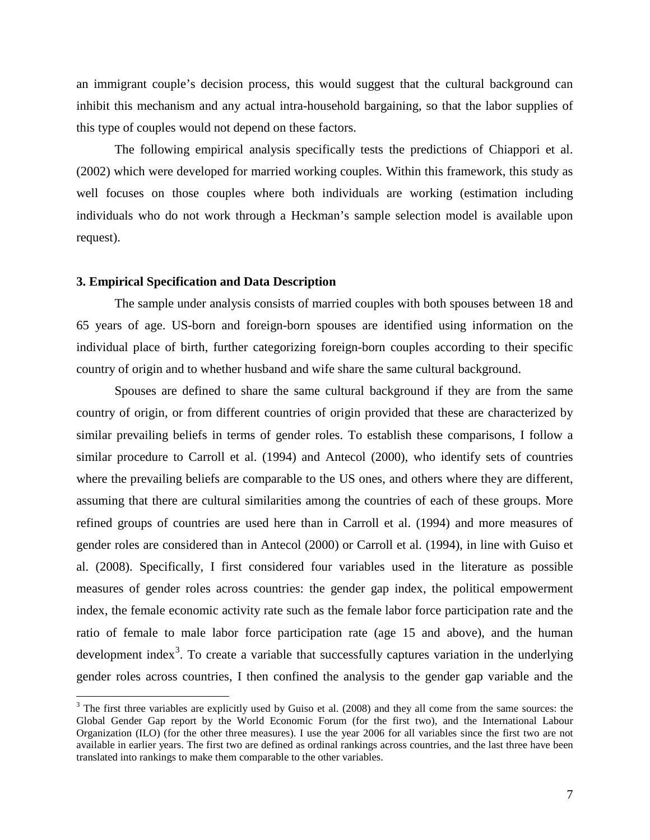an immigrant couple's decision process, this would suggest that the cultural background can inhibit this mechanism and any actual intra-household bargaining, so that the labor supplies of this type of couples would not depend on these factors.

The following empirical analysis specifically tests the predictions of Chiappori et al. (2002) which were developed for married working couples. Within this framework, this study as well focuses on those couples where both individuals are working (estimation including individuals who do not work through a Heckman's sample selection model is available upon request).

#### **3. Empirical Specification and Data Description**

 $\overline{a}$ 

The sample under analysis consists of married couples with both spouses between 18 and 65 years of age. US-born and foreign-born spouses are identified using information on the individual place of birth, further categorizing foreign-born couples according to their specific country of origin and to whether husband and wife share the same cultural background.

Spouses are defined to share the same cultural background if they are from the same country of origin, or from different countries of origin provided that these are characterized by similar prevailing beliefs in terms of gender roles. To establish these comparisons, I follow a similar procedure to Carroll et al. (1994) and Antecol (2000), who identify sets of countries where the prevailing beliefs are comparable to the US ones, and others where they are different, assuming that there are cultural similarities among the countries of each of these groups. More refined groups of countries are used here than in Carroll et al. (1994) and more measures of gender roles are considered than in Antecol (2000) or Carroll et al. (1994), in line with Guiso et al. (2008). Specifically, I first considered four variables used in the literature as possible measures of gender roles across countries: the gender gap index, the political empowerment index, the female economic activity rate such as the female labor force participation rate and the ratio of female to male labor force participation rate (age 15 and above), and the human development index<sup>[3](#page-9-0)</sup>. To create a variable that successfully captures variation in the underlying gender roles across countries, I then confined the analysis to the gender gap variable and the

<span id="page-9-0"></span><sup>&</sup>lt;sup>3</sup> The first three variables are explicitly used by Guiso et al. (2008) and they all come from the same sources: the Global Gender Gap report by the World Economic Forum (for the first two), and the International Labour Organization (ILO) (for the other three measures). I use the year 2006 for all variables since the first two are not available in earlier years. The first two are defined as ordinal rankings across countries, and the last three have been translated into rankings to make them comparable to the other variables.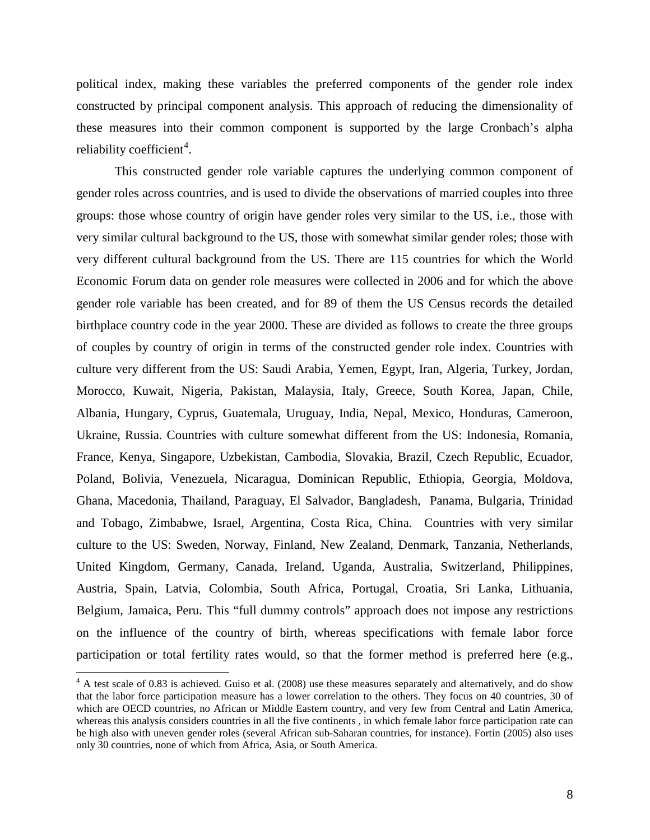political index, making these variables the preferred components of the gender role index constructed by principal component analysis. This approach of reducing the dimensionality of these measures into their common component is supported by the large Cronbach's alpha reliability coefficient<sup>[4](#page-10-0)</sup>.

This constructed gender role variable captures the underlying common component of gender roles across countries, and is used to divide the observations of married couples into three groups: those whose country of origin have gender roles very similar to the US, i.e., those with very similar cultural background to the US, those with somewhat similar gender roles; those with very different cultural background from the US. There are 115 countries for which the World Economic Forum data on gender role measures were collected in 2006 and for which the above gender role variable has been created, and for 89 of them the US Census records the detailed birthplace country code in the year 2000. These are divided as follows to create the three groups of couples by country of origin in terms of the constructed gender role index. Countries with culture very different from the US: Saudi Arabia, Yemen, Egypt, Iran, Algeria, Turkey, Jordan, Morocco, Kuwait, Nigeria, Pakistan, Malaysia, Italy, Greece, South Korea, Japan, Chile, Albania, Hungary, Cyprus, Guatemala, Uruguay, India, Nepal, Mexico, Honduras, Cameroon, Ukraine, Russia. Countries with culture somewhat different from the US: Indonesia, Romania, France, Kenya, Singapore, Uzbekistan, Cambodia, Slovakia, Brazil, Czech Republic, Ecuador, Poland, Bolivia, Venezuela, Nicaragua, Dominican Republic, Ethiopia, Georgia, Moldova, Ghana, Macedonia, Thailand, Paraguay, El Salvador, Bangladesh, Panama, Bulgaria, Trinidad and Tobago, Zimbabwe, Israel, Argentina, Costa Rica, China. Countries with very similar culture to the US: Sweden, Norway, Finland, New Zealand, Denmark, Tanzania, Netherlands, United Kingdom, Germany, Canada, Ireland, Uganda, Australia, Switzerland, Philippines, Austria, Spain, Latvia, Colombia, South Africa, Portugal, Croatia, Sri Lanka, Lithuania, Belgium, Jamaica, Peru. This "full dummy controls" approach does not impose any restrictions on the influence of the country of birth, whereas specifications with female labor force participation or total fertility rates would, so that the former method is preferred here (e.g.,

 $\overline{a}$ 

<span id="page-10-0"></span> $4 \text{ A}$  test scale of 0.83 is achieved. Guiso et al. (2008) use these measures separately and alternatively, and do show that the labor force participation measure has a lower correlation to the others. They focus on 40 countries, 30 of which are OECD countries, no African or Middle Eastern country, and very few from Central and Latin America, whereas this analysis considers countries in all the five continents , in which female labor force participation rate can be high also with uneven gender roles (several African sub-Saharan countries, for instance). Fortin (2005) also uses only 30 countries, none of which from Africa, Asia, or South America.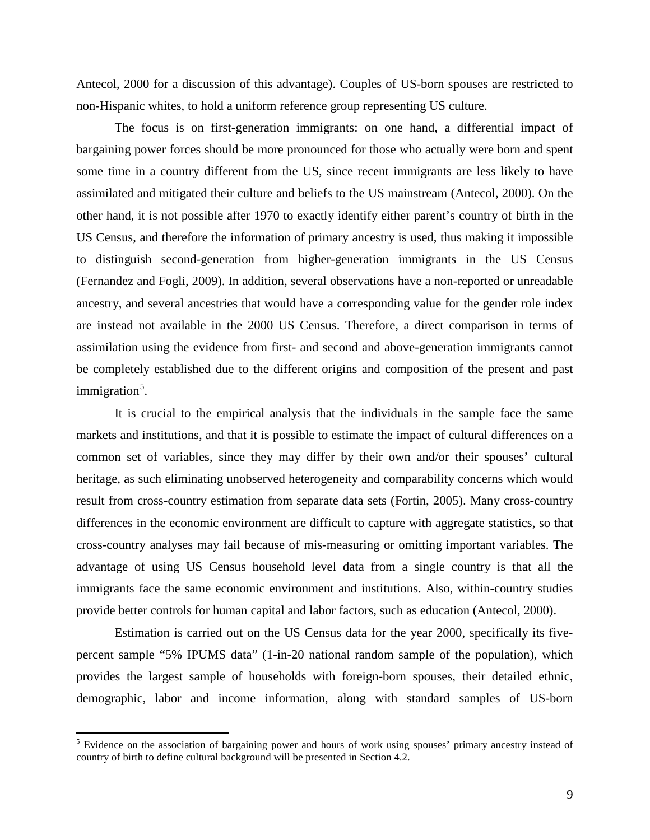Antecol, 2000 for a discussion of this advantage). Couples of US-born spouses are restricted to non-Hispanic whites, to hold a uniform reference group representing US culture.

The focus is on first-generation immigrants: on one hand, a differential impact of bargaining power forces should be more pronounced for those who actually were born and spent some time in a country different from the US, since recent immigrants are less likely to have assimilated and mitigated their culture and beliefs to the US mainstream (Antecol, 2000). On the other hand, it is not possible after 1970 to exactly identify either parent's country of birth in the US Census, and therefore the information of primary ancestry is used, thus making it impossible to distinguish second-generation from higher-generation immigrants in the US Census (Fernandez and Fogli, 2009). In addition, several observations have a non-reported or unreadable ancestry, and several ancestries that would have a corresponding value for the gender role index are instead not available in the 2000 US Census. Therefore, a direct comparison in terms of assimilation using the evidence from first- and second and above-generation immigrants cannot be completely established due to the different origins and composition of the present and past immigration<sup>[5](#page-11-0)</sup>.

It is crucial to the empirical analysis that the individuals in the sample face the same markets and institutions, and that it is possible to estimate the impact of cultural differences on a common set of variables, since they may differ by their own and/or their spouses' cultural heritage, as such eliminating unobserved heterogeneity and comparability concerns which would result from cross-country estimation from separate data sets (Fortin, 2005). Many cross-country differences in the economic environment are difficult to capture with aggregate statistics, so that cross-country analyses may fail because of mis-measuring or omitting important variables. The advantage of using US Census household level data from a single country is that all the immigrants face the same economic environment and institutions. Also, within-country studies provide better controls for human capital and labor factors, such as education (Antecol, 2000).

Estimation is carried out on the US Census data for the year 2000, specifically its fivepercent sample "5% IPUMS data" (1-in-20 national random sample of the population), which provides the largest sample of households with foreign-born spouses, their detailed ethnic, demographic, labor and income information, along with standard samples of US-born

 $\overline{a}$ 

<span id="page-11-0"></span><sup>&</sup>lt;sup>5</sup> Evidence on the association of bargaining power and hours of work using spouses' primary ancestry instead of country of birth to define cultural background will be presented in Section 4.2.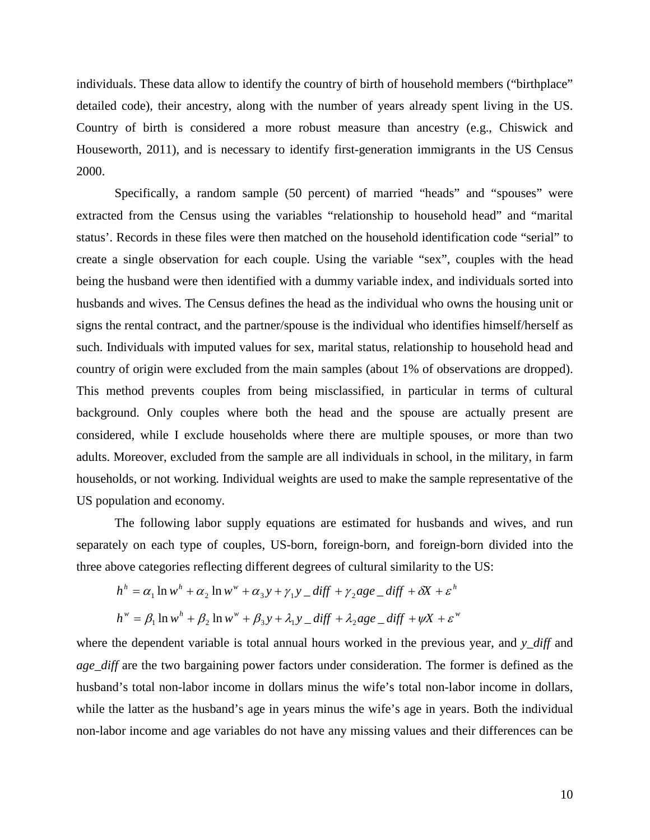individuals. These data allow to identify the country of birth of household members ("birthplace" detailed code), their ancestry, along with the number of years already spent living in the US. Country of birth is considered a more robust measure than ancestry (e.g., Chiswick and Houseworth, 2011), and is necessary to identify first-generation immigrants in the US Census 2000.

Specifically, a random sample (50 percent) of married "heads" and "spouses" were extracted from the Census using the variables "relationship to household head" and "marital status'. Records in these files were then matched on the household identification code "serial" to create a single observation for each couple. Using the variable "sex", couples with the head being the husband were then identified with a dummy variable index, and individuals sorted into husbands and wives. The Census defines the head as the individual who owns the housing unit or signs the rental contract, and the partner/spouse is the individual who identifies himself/herself as such. Individuals with imputed values for sex, marital status, relationship to household head and country of origin were excluded from the main samples (about 1% of observations are dropped). This method prevents couples from being misclassified, in particular in terms of cultural background. Only couples where both the head and the spouse are actually present are considered, while I exclude households where there are multiple spouses, or more than two adults. Moreover, excluded from the sample are all individuals in school, in the military, in farm households, or not working. Individual weights are used to make the sample representative of the US population and economy.

The following labor supply equations are estimated for husbands and wives, and run separately on each type of couples, US-born, foreign-born, and foreign-born divided into the three above categories reflecting different degrees of cultural similarity to the US:

$$
h^h = \alpha_1 \ln w^h + \alpha_2 \ln w^w + \alpha_3 y + \gamma_1 y \cdot \text{diff} + \gamma_2 \text{age} \cdot \text{diff} + \delta X + \varepsilon^h
$$
  

$$
h^w = \beta_1 \ln w^h + \beta_2 \ln w^w + \beta_3 y + \lambda_1 y \cdot \text{diff} + \lambda_2 \text{age} \cdot \text{diff} + \psi X + \varepsilon^w
$$

where the dependent variable is total annual hours worked in the previous year, and *y* diff and *age\_diff* are the two bargaining power factors under consideration. The former is defined as the husband's total non-labor income in dollars minus the wife's total non-labor income in dollars, while the latter as the husband's age in years minus the wife's age in years. Both the individual non-labor income and age variables do not have any missing values and their differences can be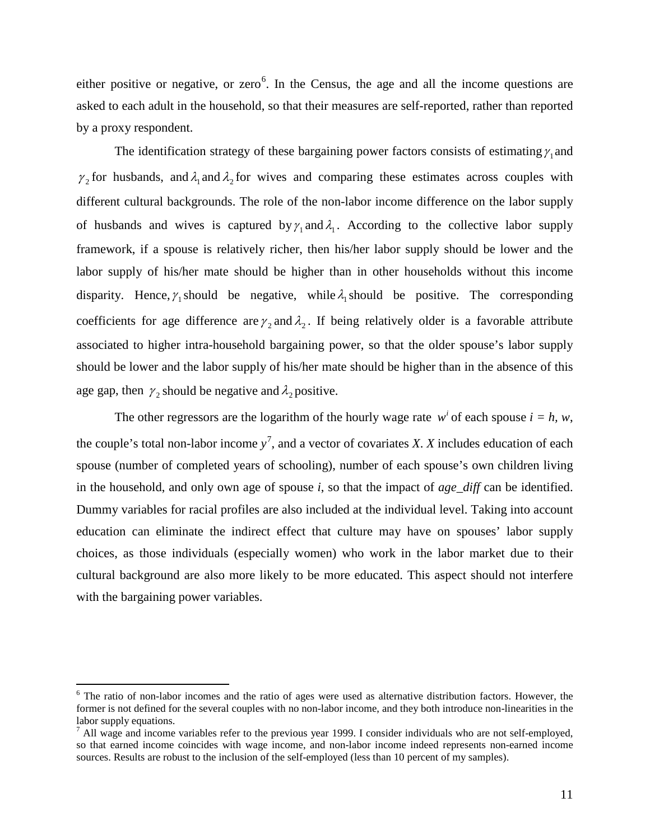either positive or negative, or zero<sup>[6](#page-13-0)</sup>. In the Census, the age and all the income questions are asked to each adult in the household, so that their measures are self-reported, rather than reported by a proxy respondent.

The identification strategy of these bargaining power factors consists of estimating  $\gamma_1$  and  $\gamma_2$  for husbands, and  $\lambda_1$  and  $\lambda_2$  for wives and comparing these estimates across couples with different cultural backgrounds. The role of the non-labor income difference on the labor supply of husbands and wives is captured by  $\gamma_1$  and  $\lambda_1$ . According to the collective labor supply framework, if a spouse is relatively richer, then his/her labor supply should be lower and the labor supply of his/her mate should be higher than in other households without this income disparity. Hence,  $\gamma_1$  should be negative, while  $\lambda_1$  should be positive. The corresponding coefficients for age difference are  $\gamma_2$  and  $\lambda_2$ . If being relatively older is a favorable attribute associated to higher intra-household bargaining power, so that the older spouse's labor supply should be lower and the labor supply of his/her mate should be higher than in the absence of this age gap, then  $\gamma_2$  should be negative and  $\lambda_2$  positive.

The other regressors are the logarithm of the hourly wage rate  $w^i$  of each spouse  $i = h, w$ , the couple's total non-labor income  $y^7$  $y^7$ , and a vector of covariates *X*. *X* includes education of each spouse (number of completed years of schooling), number of each spouse's own children living in the household, and only own age of spouse *i*, so that the impact of *age\_diff* can be identified. Dummy variables for racial profiles are also included at the individual level. Taking into account education can eliminate the indirect effect that culture may have on spouses' labor supply choices, as those individuals (especially women) who work in the labor market due to their cultural background are also more likely to be more educated. This aspect should not interfere with the bargaining power variables.

 $\overline{a}$ 

<span id="page-13-0"></span><sup>&</sup>lt;sup>6</sup> The ratio of non-labor incomes and the ratio of ages were used as alternative distribution factors. However, the former is not defined for the several couples with no non-labor income, and they both introduce non-linearities in the labor supply equations.

<span id="page-13-1"></span> $<sup>7</sup>$  All wage and income variables refer to the previous year 1999. I consider individuals who are not self-employed,</sup> so that earned income coincides with wage income, and non-labor income indeed represents non-earned income sources. Results are robust to the inclusion of the self-employed (less than 10 percent of my samples).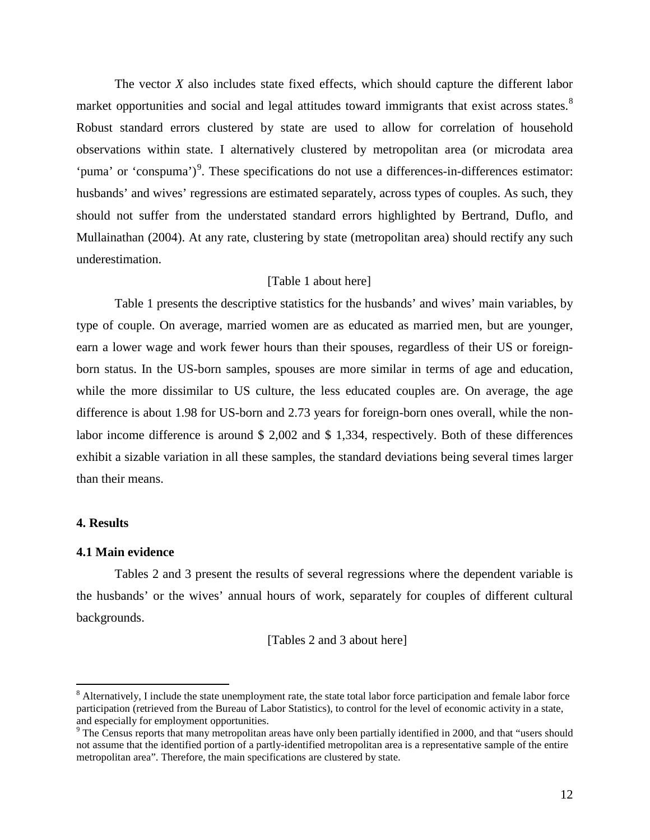The vector *X* also includes state fixed effects, which should capture the different labor market opportunities and social and legal attitudes toward immigrants that exist across states.<sup>[8](#page-14-0)</sup> Robust standard errors clustered by state are used to allow for correlation of household observations within state. I alternatively clustered by metropolitan area (or microdata area 'puma' or 'conspuma')<sup>[9](#page-14-1)</sup>. These specifications do not use a differences-in-differences estimator: husbands' and wives' regressions are estimated separately, across types of couples. As such, they should not suffer from the understated standard errors highlighted by Bertrand, Duflo, and Mullainathan (2004). At any rate, clustering by state (metropolitan area) should rectify any such underestimation.

#### [Table 1 about here]

Table 1 presents the descriptive statistics for the husbands' and wives' main variables, by type of couple. On average, married women are as educated as married men, but are younger, earn a lower wage and work fewer hours than their spouses, regardless of their US or foreignborn status. In the US-born samples, spouses are more similar in terms of age and education, while the more dissimilar to US culture, the less educated couples are. On average, the age difference is about 1.98 for US-born and 2.73 years for foreign-born ones overall, while the nonlabor income difference is around \$ 2,002 and \$ 1,334, respectively. Both of these differences exhibit a sizable variation in all these samples, the standard deviations being several times larger than their means.

#### **4. Results**

 $\overline{a}$ 

#### **4.1 Main evidence**

Tables 2 and 3 present the results of several regressions where the dependent variable is the husbands' or the wives' annual hours of work, separately for couples of different cultural backgrounds.

[Tables 2 and 3 about here]

<span id="page-14-0"></span><sup>&</sup>lt;sup>8</sup> Alternatively, I include the state unemployment rate, the state total labor force participation and female labor force participation (retrieved from the Bureau of Labor Statistics), to control for the level of economic activity in a state, and especially for employment opportunities.

<span id="page-14-1"></span><sup>&</sup>lt;sup>9</sup> The Census reports that many metropolitan areas have only been partially identified in 2000, and that "users should" not assume that the identified portion of a partly-identified metropolitan area is a representative sample of the entire metropolitan area". Therefore, the main specifications are clustered by state.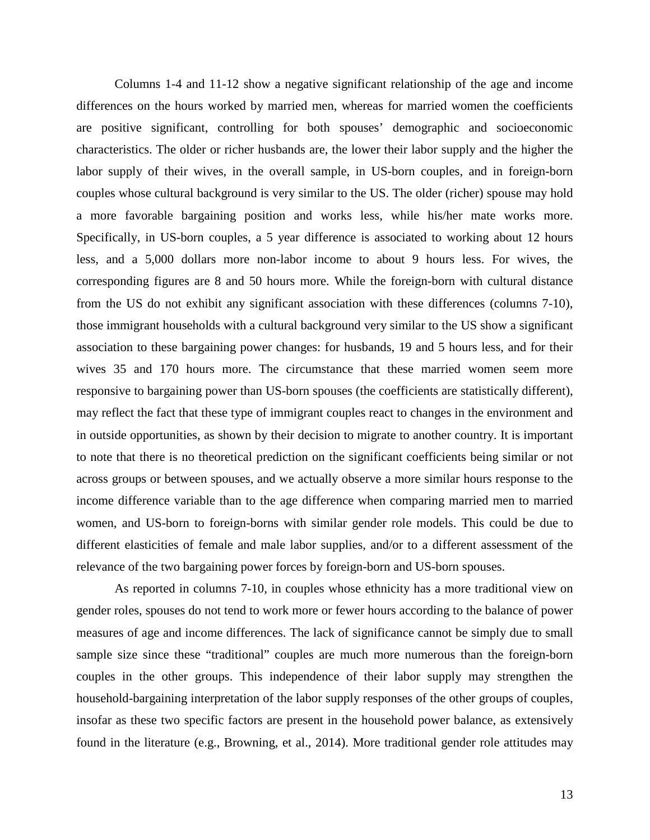Columns 1-4 and 11-12 show a negative significant relationship of the age and income differences on the hours worked by married men, whereas for married women the coefficients are positive significant, controlling for both spouses' demographic and socioeconomic characteristics. The older or richer husbands are, the lower their labor supply and the higher the labor supply of their wives, in the overall sample, in US-born couples, and in foreign-born couples whose cultural background is very similar to the US. The older (richer) spouse may hold a more favorable bargaining position and works less, while his/her mate works more. Specifically, in US-born couples, a 5 year difference is associated to working about 12 hours less, and a 5,000 dollars more non-labor income to about 9 hours less. For wives, the corresponding figures are 8 and 50 hours more. While the foreign-born with cultural distance from the US do not exhibit any significant association with these differences (columns 7-10), those immigrant households with a cultural background very similar to the US show a significant association to these bargaining power changes: for husbands, 19 and 5 hours less, and for their wives 35 and 170 hours more. The circumstance that these married women seem more responsive to bargaining power than US-born spouses (the coefficients are statistically different), may reflect the fact that these type of immigrant couples react to changes in the environment and in outside opportunities, as shown by their decision to migrate to another country. It is important to note that there is no theoretical prediction on the significant coefficients being similar or not across groups or between spouses, and we actually observe a more similar hours response to the income difference variable than to the age difference when comparing married men to married women, and US-born to foreign-borns with similar gender role models. This could be due to different elasticities of female and male labor supplies, and/or to a different assessment of the relevance of the two bargaining power forces by foreign-born and US-born spouses.

As reported in columns 7-10, in couples whose ethnicity has a more traditional view on gender roles, spouses do not tend to work more or fewer hours according to the balance of power measures of age and income differences. The lack of significance cannot be simply due to small sample size since these "traditional" couples are much more numerous than the foreign-born couples in the other groups. This independence of their labor supply may strengthen the household-bargaining interpretation of the labor supply responses of the other groups of couples, insofar as these two specific factors are present in the household power balance, as extensively found in the literature (e.g., Browning, et al., 2014). More traditional gender role attitudes may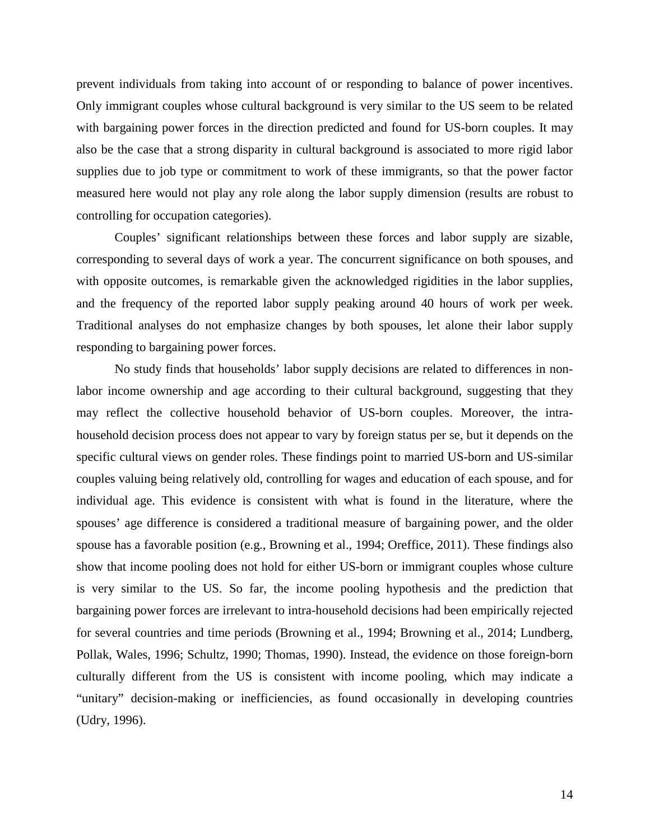prevent individuals from taking into account of or responding to balance of power incentives. Only immigrant couples whose cultural background is very similar to the US seem to be related with bargaining power forces in the direction predicted and found for US-born couples. It may also be the case that a strong disparity in cultural background is associated to more rigid labor supplies due to job type or commitment to work of these immigrants, so that the power factor measured here would not play any role along the labor supply dimension (results are robust to controlling for occupation categories).

Couples' significant relationships between these forces and labor supply are sizable, corresponding to several days of work a year. The concurrent significance on both spouses, and with opposite outcomes, is remarkable given the acknowledged rigidities in the labor supplies, and the frequency of the reported labor supply peaking around 40 hours of work per week. Traditional analyses do not emphasize changes by both spouses, let alone their labor supply responding to bargaining power forces.

No study finds that households' labor supply decisions are related to differences in nonlabor income ownership and age according to their cultural background, suggesting that they may reflect the collective household behavior of US-born couples. Moreover, the intrahousehold decision process does not appear to vary by foreign status per se, but it depends on the specific cultural views on gender roles. These findings point to married US-born and US-similar couples valuing being relatively old, controlling for wages and education of each spouse, and for individual age. This evidence is consistent with what is found in the literature, where the spouses' age difference is considered a traditional measure of bargaining power, and the older spouse has a favorable position (e.g., Browning et al., 1994; Oreffice, 2011). These findings also show that income pooling does not hold for either US-born or immigrant couples whose culture is very similar to the US. So far, the income pooling hypothesis and the prediction that bargaining power forces are irrelevant to intra-household decisions had been empirically rejected for several countries and time periods (Browning et al., 1994; Browning et al., 2014; Lundberg, Pollak, Wales, 1996; Schultz, 1990; Thomas, 1990). Instead, the evidence on those foreign-born culturally different from the US is consistent with income pooling, which may indicate a "unitary" decision-making or inefficiencies, as found occasionally in developing countries (Udry, 1996).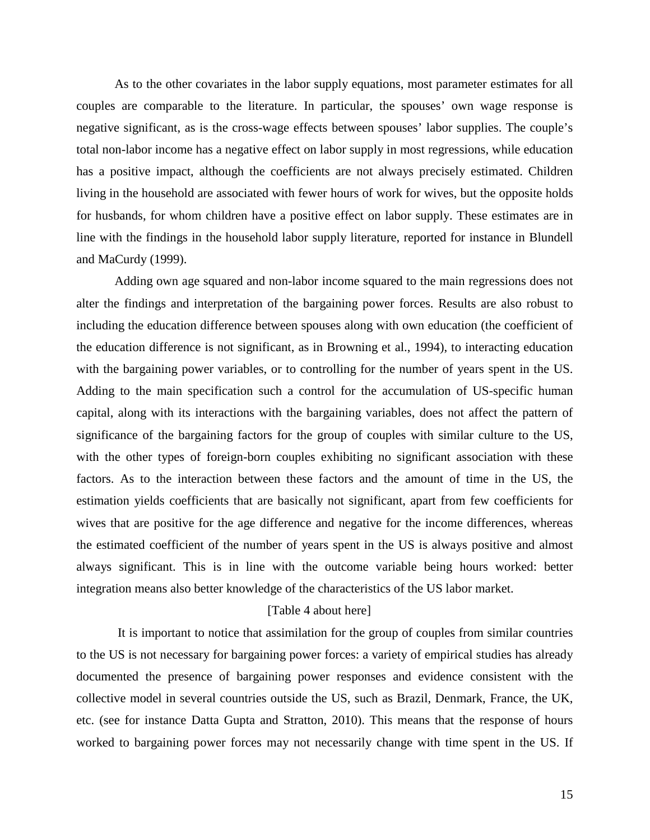As to the other covariates in the labor supply equations, most parameter estimates for all couples are comparable to the literature. In particular, the spouses' own wage response is negative significant, as is the cross-wage effects between spouses' labor supplies. The couple's total non-labor income has a negative effect on labor supply in most regressions, while education has a positive impact, although the coefficients are not always precisely estimated. Children living in the household are associated with fewer hours of work for wives, but the opposite holds for husbands, for whom children have a positive effect on labor supply. These estimates are in line with the findings in the household labor supply literature, reported for instance in Blundell and MaCurdy (1999).

Adding own age squared and non-labor income squared to the main regressions does not alter the findings and interpretation of the bargaining power forces. Results are also robust to including the education difference between spouses along with own education (the coefficient of the education difference is not significant, as in Browning et al., 1994), to interacting education with the bargaining power variables, or to controlling for the number of years spent in the US. Adding to the main specification such a control for the accumulation of US-specific human capital, along with its interactions with the bargaining variables, does not affect the pattern of significance of the bargaining factors for the group of couples with similar culture to the US, with the other types of foreign-born couples exhibiting no significant association with these factors. As to the interaction between these factors and the amount of time in the US, the estimation yields coefficients that are basically not significant, apart from few coefficients for wives that are positive for the age difference and negative for the income differences, whereas the estimated coefficient of the number of years spent in the US is always positive and almost always significant. This is in line with the outcome variable being hours worked: better integration means also better knowledge of the characteristics of the US labor market.

#### [Table 4 about here]

It is important to notice that assimilation for the group of couples from similar countries to the US is not necessary for bargaining power forces: a variety of empirical studies has already documented the presence of bargaining power responses and evidence consistent with the collective model in several countries outside the US, such as Brazil, Denmark, France, the UK, etc. (see for instance Datta Gupta and Stratton, 2010). This means that the response of hours worked to bargaining power forces may not necessarily change with time spent in the US. If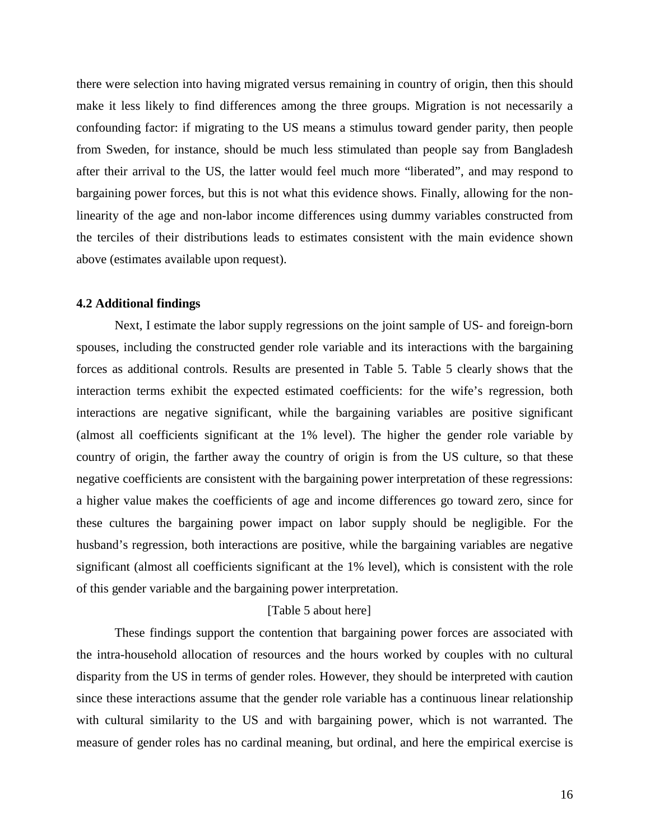there were selection into having migrated versus remaining in country of origin, then this should make it less likely to find differences among the three groups. Migration is not necessarily a confounding factor: if migrating to the US means a stimulus toward gender parity, then people from Sweden, for instance, should be much less stimulated than people say from Bangladesh after their arrival to the US, the latter would feel much more "liberated", and may respond to bargaining power forces, but this is not what this evidence shows. Finally, allowing for the nonlinearity of the age and non-labor income differences using dummy variables constructed from the terciles of their distributions leads to estimates consistent with the main evidence shown above (estimates available upon request).

#### **4.2 Additional findings**

Next, I estimate the labor supply regressions on the joint sample of US- and foreign-born spouses, including the constructed gender role variable and its interactions with the bargaining forces as additional controls. Results are presented in Table 5. Table 5 clearly shows that the interaction terms exhibit the expected estimated coefficients: for the wife's regression, both interactions are negative significant, while the bargaining variables are positive significant (almost all coefficients significant at the 1% level). The higher the gender role variable by country of origin, the farther away the country of origin is from the US culture, so that these negative coefficients are consistent with the bargaining power interpretation of these regressions: a higher value makes the coefficients of age and income differences go toward zero, since for these cultures the bargaining power impact on labor supply should be negligible. For the husband's regression, both interactions are positive, while the bargaining variables are negative significant (almost all coefficients significant at the 1% level), which is consistent with the role of this gender variable and the bargaining power interpretation.

#### [Table 5 about here]

These findings support the contention that bargaining power forces are associated with the intra-household allocation of resources and the hours worked by couples with no cultural disparity from the US in terms of gender roles. However, they should be interpreted with caution since these interactions assume that the gender role variable has a continuous linear relationship with cultural similarity to the US and with bargaining power, which is not warranted. The measure of gender roles has no cardinal meaning, but ordinal, and here the empirical exercise is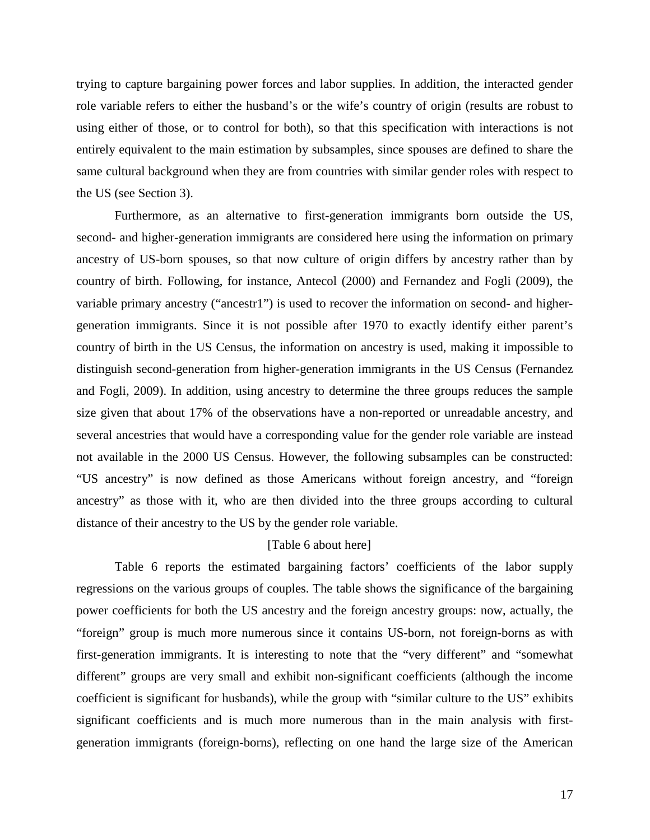trying to capture bargaining power forces and labor supplies. In addition, the interacted gender role variable refers to either the husband's or the wife's country of origin (results are robust to using either of those, or to control for both), so that this specification with interactions is not entirely equivalent to the main estimation by subsamples, since spouses are defined to share the same cultural background when they are from countries with similar gender roles with respect to the US (see Section 3).

Furthermore, as an alternative to first-generation immigrants born outside the US, second- and higher-generation immigrants are considered here using the information on primary ancestry of US-born spouses, so that now culture of origin differs by ancestry rather than by country of birth. Following, for instance, Antecol (2000) and Fernandez and Fogli (2009), the variable primary ancestry ("ancestr1") is used to recover the information on second- and highergeneration immigrants. Since it is not possible after 1970 to exactly identify either parent's country of birth in the US Census, the information on ancestry is used, making it impossible to distinguish second-generation from higher-generation immigrants in the US Census (Fernandez and Fogli, 2009). In addition, using ancestry to determine the three groups reduces the sample size given that about 17% of the observations have a non-reported or unreadable ancestry, and several ancestries that would have a corresponding value for the gender role variable are instead not available in the 2000 US Census. However, the following subsamples can be constructed: "US ancestry" is now defined as those Americans without foreign ancestry, and "foreign ancestry" as those with it, who are then divided into the three groups according to cultural distance of their ancestry to the US by the gender role variable.

#### [Table 6 about here]

Table 6 reports the estimated bargaining factors' coefficients of the labor supply regressions on the various groups of couples. The table shows the significance of the bargaining power coefficients for both the US ancestry and the foreign ancestry groups: now, actually, the "foreign" group is much more numerous since it contains US-born, not foreign-borns as with first-generation immigrants. It is interesting to note that the "very different" and "somewhat different" groups are very small and exhibit non-significant coefficients (although the income coefficient is significant for husbands), while the group with "similar culture to the US" exhibits significant coefficients and is much more numerous than in the main analysis with firstgeneration immigrants (foreign-borns), reflecting on one hand the large size of the American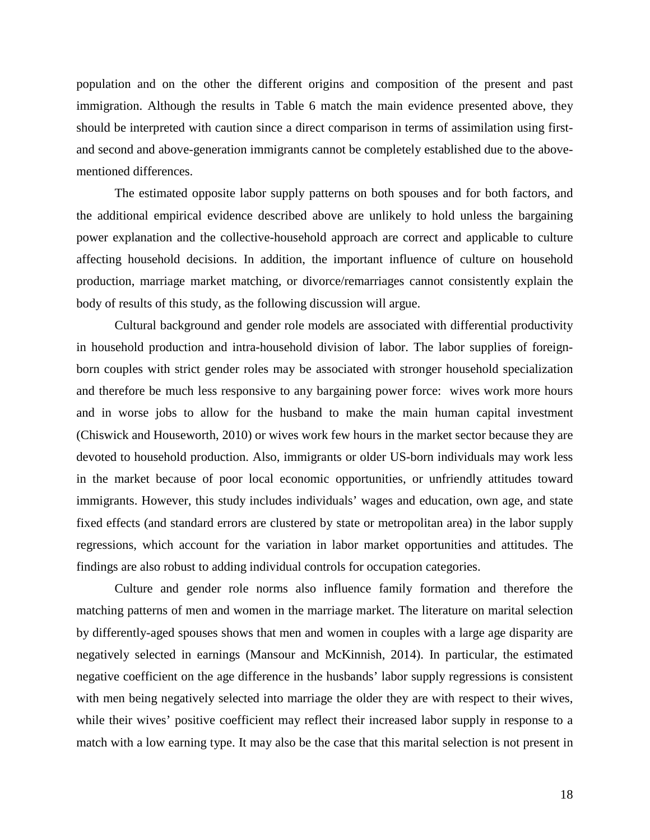population and on the other the different origins and composition of the present and past immigration. Although the results in Table 6 match the main evidence presented above, they should be interpreted with caution since a direct comparison in terms of assimilation using firstand second and above-generation immigrants cannot be completely established due to the abovementioned differences.

The estimated opposite labor supply patterns on both spouses and for both factors, and the additional empirical evidence described above are unlikely to hold unless the bargaining power explanation and the collective-household approach are correct and applicable to culture affecting household decisions. In addition, the important influence of culture on household production, marriage market matching, or divorce/remarriages cannot consistently explain the body of results of this study, as the following discussion will argue.

Cultural background and gender role models are associated with differential productivity in household production and intra-household division of labor. The labor supplies of foreignborn couples with strict gender roles may be associated with stronger household specialization and therefore be much less responsive to any bargaining power force: wives work more hours and in worse jobs to allow for the husband to make the main human capital investment (Chiswick and Houseworth, 2010) or wives work few hours in the market sector because they are devoted to household production. Also, immigrants or older US-born individuals may work less in the market because of poor local economic opportunities, or unfriendly attitudes toward immigrants. However, this study includes individuals' wages and education, own age, and state fixed effects (and standard errors are clustered by state or metropolitan area) in the labor supply regressions, which account for the variation in labor market opportunities and attitudes. The findings are also robust to adding individual controls for occupation categories.

Culture and gender role norms also influence family formation and therefore the matching patterns of men and women in the marriage market. The literature on marital selection by differently-aged spouses shows that men and women in couples with a large age disparity are negatively selected in earnings (Mansour and McKinnish, 2014). In particular, the estimated negative coefficient on the age difference in the husbands' labor supply regressions is consistent with men being negatively selected into marriage the older they are with respect to their wives, while their wives' positive coefficient may reflect their increased labor supply in response to a match with a low earning type. It may also be the case that this marital selection is not present in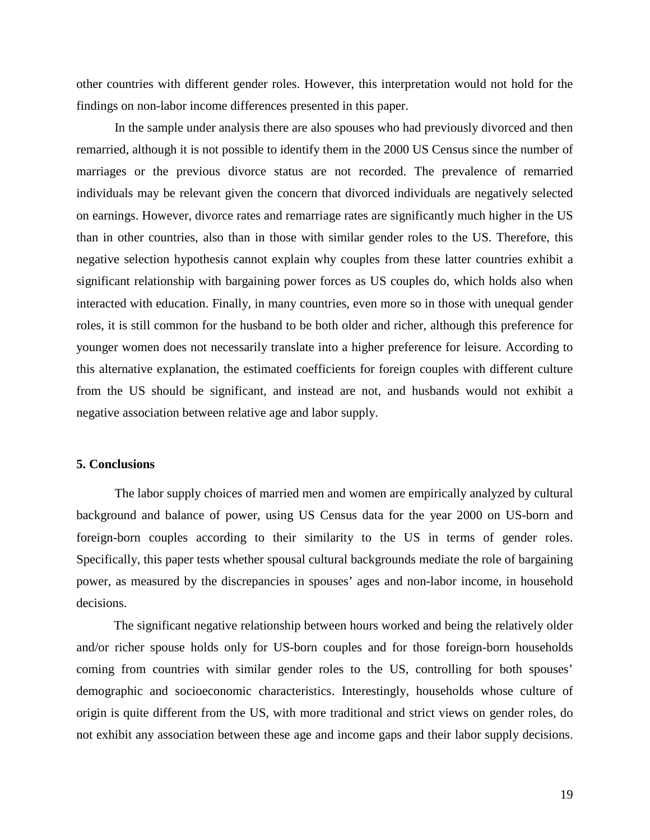other countries with different gender roles. However, this interpretation would not hold for the findings on non-labor income differences presented in this paper.

In the sample under analysis there are also spouses who had previously divorced and then remarried, although it is not possible to identify them in the 2000 US Census since the number of marriages or the previous divorce status are not recorded. The prevalence of remarried individuals may be relevant given the concern that divorced individuals are negatively selected on earnings. However, divorce rates and remarriage rates are significantly much higher in the US than in other countries, also than in those with similar gender roles to the US. Therefore, this negative selection hypothesis cannot explain why couples from these latter countries exhibit a significant relationship with bargaining power forces as US couples do, which holds also when interacted with education. Finally, in many countries, even more so in those with unequal gender roles, it is still common for the husband to be both older and richer, although this preference for younger women does not necessarily translate into a higher preference for leisure. According to this alternative explanation, the estimated coefficients for foreign couples with different culture from the US should be significant, and instead are not, and husbands would not exhibit a negative association between relative age and labor supply.

#### **5. Conclusions**

The labor supply choices of married men and women are empirically analyzed by cultural background and balance of power, using US Census data for the year 2000 on US-born and foreign-born couples according to their similarity to the US in terms of gender roles. Specifically, this paper tests whether spousal cultural backgrounds mediate the role of bargaining power, as measured by the discrepancies in spouses' ages and non-labor income, in household decisions.

The significant negative relationship between hours worked and being the relatively older and/or richer spouse holds only for US-born couples and for those foreign-born households coming from countries with similar gender roles to the US, controlling for both spouses' demographic and socioeconomic characteristics. Interestingly, households whose culture of origin is quite different from the US, with more traditional and strict views on gender roles, do not exhibit any association between these age and income gaps and their labor supply decisions.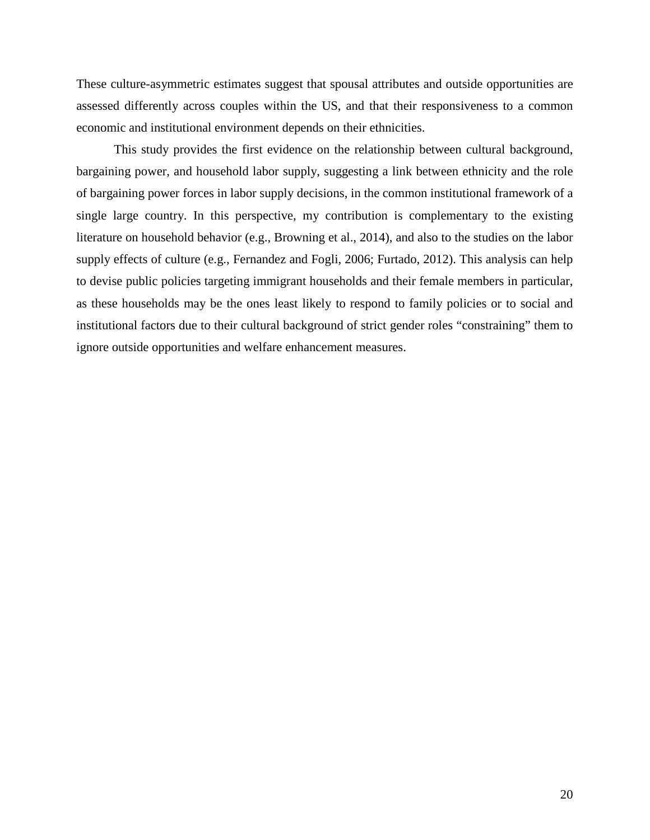These culture-asymmetric estimates suggest that spousal attributes and outside opportunities are assessed differently across couples within the US, and that their responsiveness to a common economic and institutional environment depends on their ethnicities.

This study provides the first evidence on the relationship between cultural background, bargaining power, and household labor supply, suggesting a link between ethnicity and the role of bargaining power forces in labor supply decisions, in the common institutional framework of a single large country. In this perspective, my contribution is complementary to the existing literature on household behavior (e.g., Browning et al., 2014), and also to the studies on the labor supply effects of culture (e.g., Fernandez and Fogli, 2006; Furtado, 2012). This analysis can help to devise public policies targeting immigrant households and their female members in particular, as these households may be the ones least likely to respond to family policies or to social and institutional factors due to their cultural background of strict gender roles "constraining" them to ignore outside opportunities and welfare enhancement measures.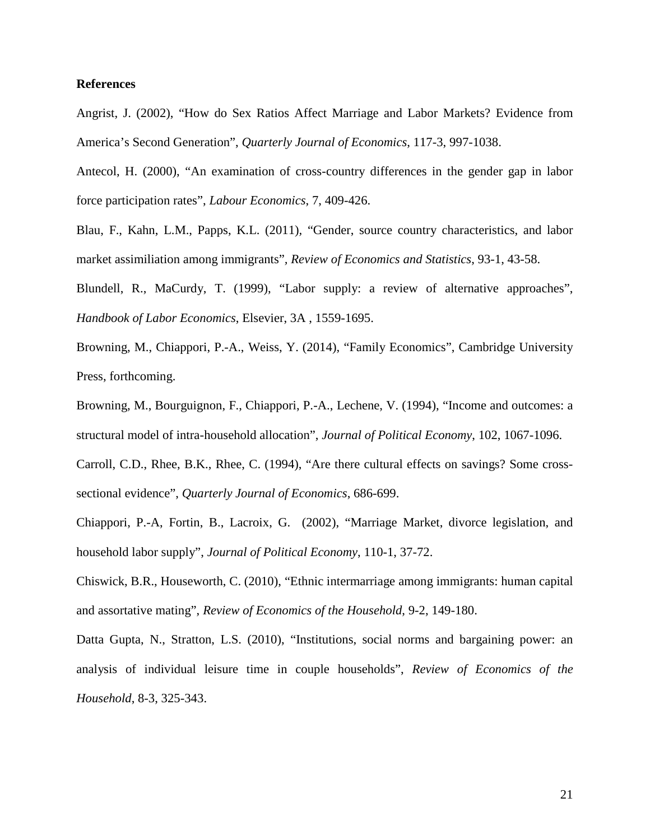#### **References**

Angrist, J. (2002), "How do Sex Ratios Affect Marriage and Labor Markets? Evidence from America's Second Generation", *Quarterly Journal of Economics*, 117-3, 997-1038.

Antecol, H. (2000), "An examination of cross-country differences in the gender gap in labor force participation rates", *Labour Economics*, 7, 409-426.

Blau, F., Kahn, L.M., Papps, K.L. (2011)*,* "Gender, source country characteristics, and labor market assimiliation among immigrants"*, Review of Economics and Statistics*, 93-1, 43-58.

Blundell, R., MaCurdy, T. (1999), "Labor supply: a review of alternative approaches", *Handbook of Labor Economics*, Elsevier, 3A , 1559-1695.

Browning, M., Chiappori, P.-A., Weiss, Y. (2014), "Family Economics", Cambridge University Press, forthcoming.

Browning, M., Bourguignon, F., Chiappori, P.-A., Lechene, V. (1994), "Income and outcomes: a structural model of intra-household allocation", *Journal of Political Economy*, 102, 1067-1096.

Carroll, C.D., Rhee, B.K., Rhee, C. (1994), "Are there cultural effects on savings? Some crosssectional evidence", *Quarterly Journal of Economics*, 686-699.

Chiappori, P.-A, Fortin, B., Lacroix, G. (2002), "Marriage Market, divorce legislation, and household labor supply", *Journal of Political Economy*, 110-1, 37-72.

Chiswick, B.R., Houseworth, C. (2010), "Ethnic intermarriage among immigrants: human capital and assortative mating", *Review of Economics of the Household*, 9-2, 149-180.

Datta Gupta, N., Stratton, L.S. (2010), "Institutions, social norms and bargaining power: an analysis of individual leisure time in couple households", *Review of Economics of the Household*, 8-3, 325-343.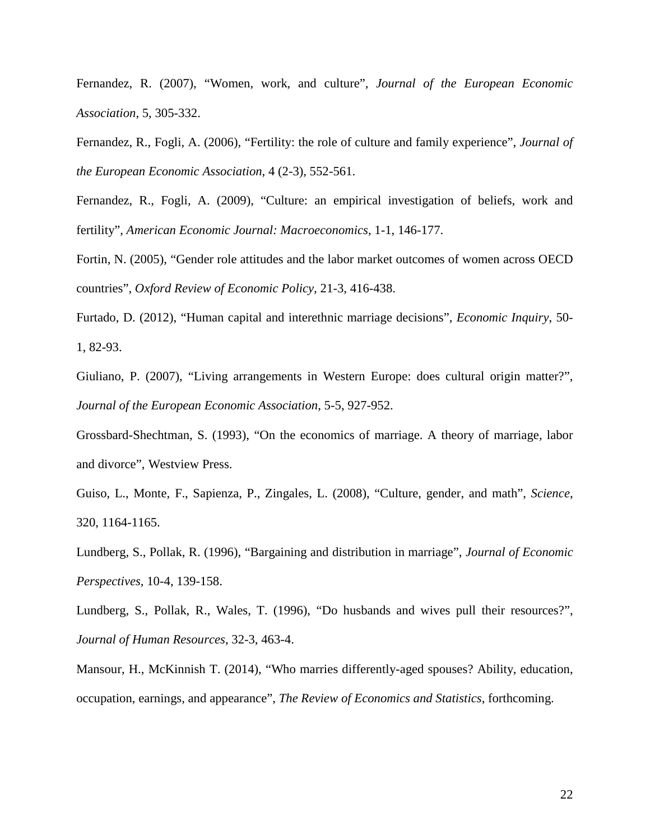Fernandez, R. (2007), "Women, work, and culture", *Journal of the European Economic Association*, 5, 305-332.

Fernandez, R., Fogli, A. (2006), "Fertility: the role of culture and family experience", *Journal of the European Economic Association*, 4 (2-3), 552-561.

Fernandez, R., Fogli, A. (2009), "Culture: an empirical investigation of beliefs, work and fertility", *American Economic Journal: Macroeconomics*, 1-1, 146-177.

Fortin, N. (2005), "Gender role attitudes and the labor market outcomes of women across OECD countries", *Oxford Review of Economic Policy*, 21-3, 416-438.

Furtado, D. (2012), "Human capital and interethnic marriage decisions", *Economic Inquiry*, 50- 1, 82-93.

Giuliano, P. (2007), "Living arrangements in Western Europe: does cultural origin matter?", *Journal of the European Economic Association*, 5-5, 927-952.

Grossbard-Shechtman, S. (1993), "On the economics of marriage. A theory of marriage, labor and divorce", Westview Press.

Guiso, L., Monte, F., Sapienza, P., Zingales, L. (2008), "Culture, gender, and math", *Science*, 320, 1164-1165.

Lundberg, S., Pollak, R. (1996), "Bargaining and distribution in marriage", *Journal of Economic Perspectives*, 10-4, 139-158.

Lundberg, S., Pollak, R., Wales, T. (1996), "Do husbands and wives pull their resources?", *Journal of Human Resources*, 32-3, 463-4.

Mansour, H., McKinnish T. (2014), "Who marries differently-aged spouses? Ability, education, occupation, earnings, and appearance", *The Review of Economics and Statistics*, forthcoming.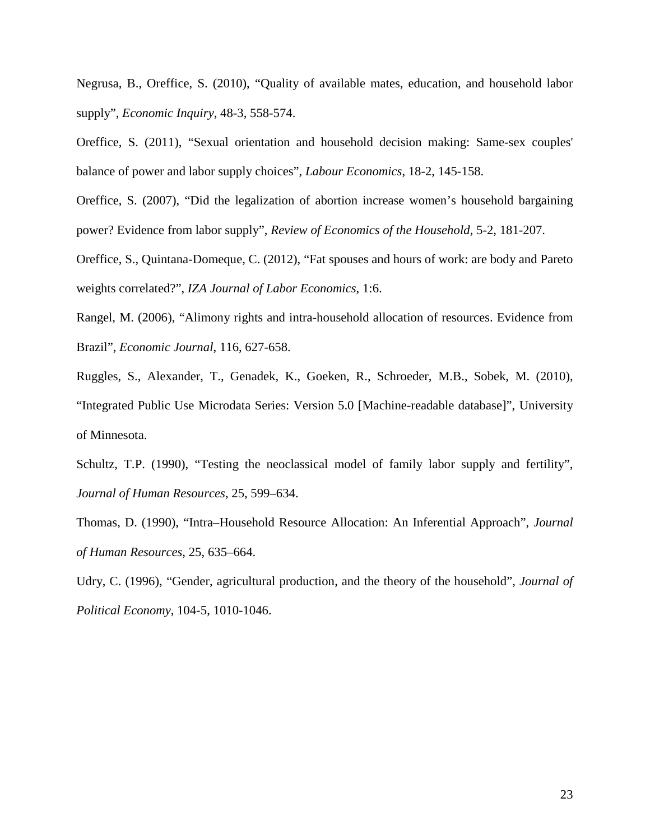Negrusa, B., Oreffice, S. (2010), "Quality of available mates, education, and household labor supply", *Economic Inquiry*, 48-3, 558-574.

Oreffice, S. (2011), "Sexual orientation and household decision making: Same-sex couples' balance of power and labor supply choices", *Labour Economics*, 18-2, 145-158.

Oreffice, S. (2007), "Did the legalization of abortion increase women's household bargaining power? Evidence from labor supply", *Review of Economics of the Household*, 5-2, 181-207.

Oreffice, S., Quintana-Domeque, C. (2012), "Fat spouses and hours of work: are body and Pareto weights correlated?", *IZA Journal of Labor Economics*, 1:6.

Rangel, M. (2006), "Alimony rights and intra-household allocation of resources. Evidence from Brazil", *Economic Journal*, 116, 627-658.

Ruggles, S., Alexander, T., Genadek, K., Goeken, R., Schroeder, M.B., Sobek, M. (2010), "Integrated Public Use Microdata Series: Version 5.0 [Machine-readable database]", University of Minnesota.

Schultz, T.P. (1990), "Testing the neoclassical model of family labor supply and fertility", *Journal of Human Resources*, 25, 599–634.

Thomas, D. (1990), "Intra–Household Resource Allocation: An Inferential Approach", *Journal of Human Resources*, 25, 635–664.

Udry, C. (1996), "Gender, agricultural production, and the theory of the household", *Journal of Political Economy*, 104-5, 1010-1046.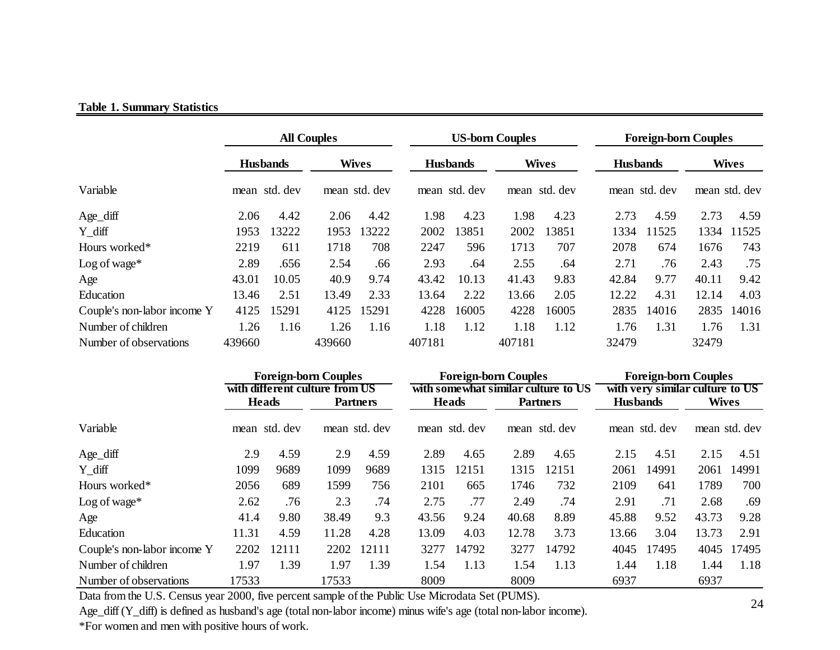#### **Table 1. Summary Statistics**

|                             | <b>All Couples</b> |                 |        |               | <b>US-born Couples</b> |                 |        | <b>Foreign-born Couples</b> |                 |               |       |               |
|-----------------------------|--------------------|-----------------|--------|---------------|------------------------|-----------------|--------|-----------------------------|-----------------|---------------|-------|---------------|
|                             |                    | <b>Husbands</b> |        | <b>Wives</b>  |                        | <b>Husbands</b> |        | <b>Wives</b>                | <b>Husbands</b> |               |       | <b>Wives</b>  |
| Variable                    |                    | mean std. dev   |        | mean std. dev |                        | mean std. dev   |        | mean std. dev               |                 | mean std. dev |       | mean std. dev |
| $Age\_diff$                 | 2.06               | 4.42            | 2.06   | 4.42          | 1.98                   | 4.23            | 1.98   | 4.23                        | 2.73            | 4.59          | 2.73  | 4.59          |
| Y diff                      | 1953               | 13222           | 1953   | 13222         | 2002                   | 13851           | 2002   | 13851                       | 1334            | 11525         | 1334  | 11525         |
| Hours worked*               | 2219               | 611             | 1718   | 708           | 2247                   | 596             | 1713   | 707                         | 2078            | 674           | 1676  | 743           |
| Log of wage*                | 2.89               | .656            | 2.54   | .66           | 2.93                   | .64             | 2.55   | .64                         | 2.71            | .76           | 2.43  | .75           |
| Age                         | 43.01              | 10.05           | 40.9   | 9.74          | 43.42                  | 10.13           | 41.43  | 9.83                        | 42.84           | 9.77          | 40.11 | 9.42          |
| Education                   | 13.46              | 2.51            | 13.49  | 2.33          | 13.64                  | 2.22            | 13.66  | 2.05                        | 12.22           | 4.31          | 12.14 | 4.03          |
| Couple's non-labor income Y | 4125               | 15291           | 4125   | 15291         | 4228                   | 16005           | 4228   | 16005                       | 2835            | 14016         | 2835  | 14016         |
| Number of children          | 1.26               | 1.16            | 1.26   | 1.16          | 1.18                   | 1.12            | 1.18   | 1.12                        | 1.76            | 1.31          | 1.76  | 1.31          |
| Number of observations      | 439660             |                 | 439660 |               | 407181                 |                 | 407181 |                             | 32479           |               | 32479 |               |

|                             | <b>Foreign-born Couples</b> |               |                                | <b>Foreign-born Couples</b> |              |               | <b>Foreign-born Couples</b> |                                     |                                 |               |              |               |
|-----------------------------|-----------------------------|---------------|--------------------------------|-----------------------------|--------------|---------------|-----------------------------|-------------------------------------|---------------------------------|---------------|--------------|---------------|
|                             |                             |               | with different culture from US |                             |              |               |                             | with somewhat similar culture to US | with very similar culture to US |               |              |               |
|                             | <b>Heads</b>                |               |                                | <b>Partners</b>             | <b>Heads</b> |               |                             | <b>Partners</b>                     | <b>Husbands</b>                 |               | <b>Wives</b> |               |
| Variable                    |                             | mean std. dev |                                | mean std. dev               |              | mean std. dev |                             | mean std. dev                       |                                 | mean std. dev |              | mean std. dev |
| Age_diff                    | 2.9                         | 4.59          | 2.9                            | 4.59                        | 2.89         | 4.65          | 2.89                        | 4.65                                | 2.15                            | 4.51          | 2.15         | 4.51          |
| Y diff                      | 1099                        | 9689          | 1099                           | 9689                        | 1315         | 12151         | 1315                        | 12151                               | 2061                            | 14991         | 2061         | 14991         |
| Hours worked*               | 2056                        | 689           | 1599                           | 756                         | 2101         | 665           | 1746                        | 732                                 | 2109                            | 641           | 1789         | 700           |
| Log of wage*                | 2.62                        | .76           | 2.3                            | .74                         | 2.75         | .77           | 2.49                        | .74                                 | 2.91                            | .71           | 2.68         | .69           |
| Age                         | 41.4                        | 9.80          | 38.49                          | 9.3                         | 43.56        | 9.24          | 40.68                       | 8.89                                | 45.88                           | 9.52          | 43.73        | 9.28          |
| Education                   | 11.31                       | 4.59          | 11.28                          | 4.28                        | 13.09        | 4.03          | 12.78                       | 3.73                                | 13.66                           | 3.04          | 13.73        | 2.91          |
| Couple's non-labor income Y | 2202                        | 12111         | 2202                           | 12111                       | 3277         | 14792         | 3277                        | 14792                               | 4045                            | 17495         | 4045         | 17495         |
| Number of children          | 1.97                        | 1.39          | 1.97                           | 1.39                        | 1.54         | 1.13          | 1.54                        | 1.13                                | 1.44                            | 1.18          | 1.44         | 1.18          |
| Number of observations      | 17533                       |               | 17533                          |                             | 8009         |               | 8009                        |                                     | 6937                            |               | 6937         |               |

Data from the U.S. Census year 2000, five percent sample of the Public Use Microdata Set (PUMS).

Age\_diff (Y\_diff) is defined as husband's age (total non-labor income) minus wife's age (total non-labor income).

\*For women and men with positive hours of work.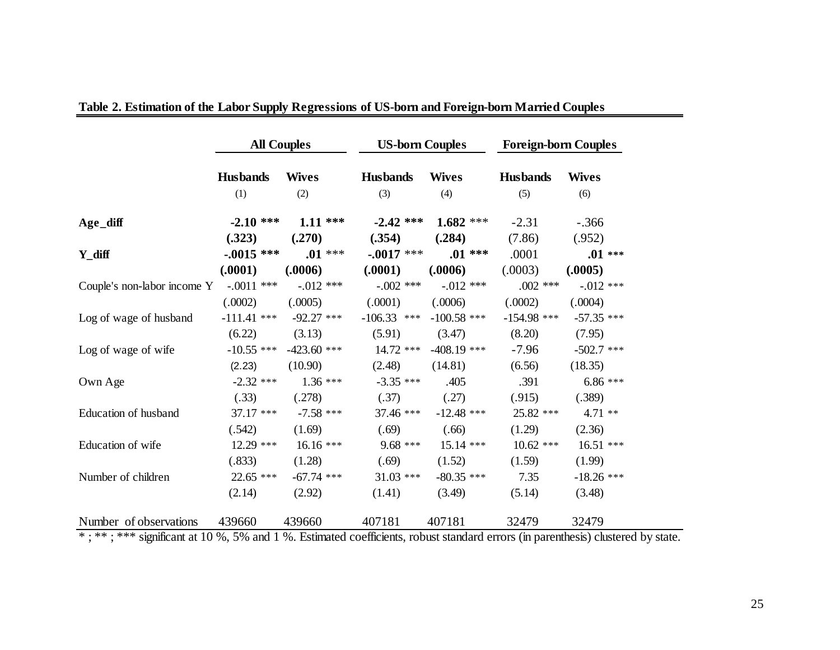|                                           |                 | <b>All Couples</b>         | <b>US-born Couples</b>                  |                             | <b>Foreign-born Couples</b> |              |
|-------------------------------------------|-----------------|----------------------------|-----------------------------------------|-----------------------------|-----------------------------|--------------|
|                                           | <b>Husbands</b> | <b>Wives</b>               | <b>Husbands</b>                         | <b>Wives</b>                | <b>Husbands</b>             | <b>Wives</b> |
|                                           | (1)             | (2)                        | (3)                                     | (4)                         | (5)                         | (6)          |
| Age_diff                                  | $-2.10$ ***     | $1.11***$                  | $-2.42$ ***                             | $1.682$ ***                 | $-2.31$                     | $-.366$      |
|                                           | (.323)          | (.270)                     | (.354)                                  | (.284)                      | (7.86)                      | (.952)       |
| <b>Y_diff</b>                             | $-.0015$ ***    | $.01***$                   | $-.0017$ ***                            | $.01***$                    | .0001                       | $.01***$     |
|                                           | (.0001)         | (.0006)                    | (.0001)                                 | (.0006)                     | (.0003)                     | (.0005)      |
| Couple's non-labor income $Y - .0011$ *** |                 | $-0.012$ ***               |                                         | $-.002$ *** $-.012$ ***     | $.002$ ***                  | $-.012$ ***  |
|                                           | (.0002)         | (.0005)                    | (.0001)                                 | (.0006)                     | (.0002)                     | (.0004)      |
| Log of wage of husband                    |                 | $-111.41$ *** $-92.27$ *** |                                         | $-106.33$ *** $-100.58$ *** | $-154.98$ ***               | $-57.35$ *** |
|                                           | (6.22)          | (3.13)                     | (5.91)                                  | (3.47)                      | (8.20)                      | (7.95)       |
| Log of wage of wife                       | $-10.55$ ***    |                            | $-423.60$ *** $14.72$ *** $-408.19$ *** |                             | -7.96                       | $-502.7$ *** |
|                                           | (2.23)          | (10.90)                    | (2.48)                                  | (14.81)                     | (6.56)                      | (18.35)      |
| Own Age                                   | $-2.32$ ***     | $1.36***$                  | $-3.35$ ***                             | .405                        | .391                        | $6.86***$    |
|                                           | (.33)           | (.278)                     | (.37)                                   | (.27)                       | (.915)                      | (.389)       |
| <b>Education of husband</b>               | $37.17$ ***     | $-7.58$ ***                | $37.46$ ***                             | $-12.48$ ***                | $25.82$ ***                 | $4.71$ **    |
|                                           | (.542)          | (1.69)                     | (.69)                                   | (.66)                       | (1.29)                      | (2.36)       |
| Education of wife                         | $12.29$ ***     | $16.16***$                 | $9.68***$                               | $15.14$ ***                 | $10.62$ ***                 | $16.51$ ***  |
|                                           | (.833)          | (1.28)                     | (.69)                                   | (1.52)                      | (1.59)                      | (1.99)       |
| Number of children                        | $22.65$ ***     | $-67.74$ ***               | $31.03$ ***                             | $-80.35$ ***                | 7.35                        | $-18.26$ *** |
|                                           | (2.14)          | (2.92)                     | (1.41)                                  | (3.49)                      | (5.14)                      | (3.48)       |
| Number of observations                    | 439660          | 439660                     | 407181                                  | 407181                      | 32479                       | 32479        |

|  |  | Table 2. Estimation of the Labor Supply Regressions of US-born and Foreign-born Married Couples |  |  |
|--|--|-------------------------------------------------------------------------------------------------|--|--|
|  |  |                                                                                                 |  |  |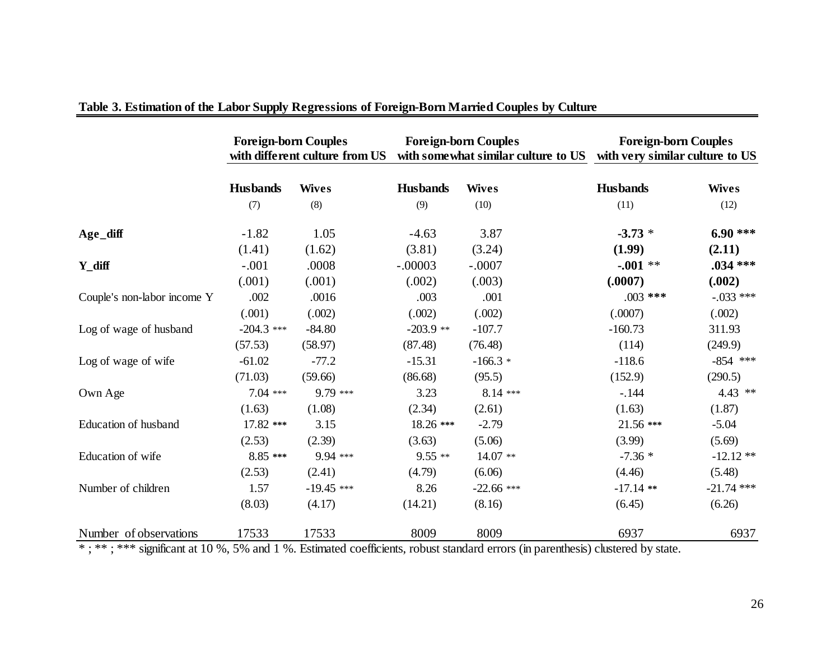|                             | <b>Foreign-born Couples</b><br>with different culture from US with somewhat similar culture to US |              |                 | <b>Foreign-born Couples</b> | <b>Foreign-born Couples</b><br>with very similar culture to US |              |
|-----------------------------|---------------------------------------------------------------------------------------------------|--------------|-----------------|-----------------------------|----------------------------------------------------------------|--------------|
|                             | <b>Husbands</b>                                                                                   | <b>Wives</b> | <b>Husbands</b> | <b>Wives</b>                | <b>Husbands</b>                                                | <b>Wives</b> |
|                             | (7)                                                                                               | (8)          | (9)             | (10)                        | (11)                                                           | (12)         |
| Age_diff                    | $-1.82$                                                                                           | 1.05         | $-4.63$         | 3.87                        | $-3.73*$                                                       | $6.90***$    |
|                             | (1.41)                                                                                            | (1.62)       | (3.81)          | (3.24)                      | (1.99)                                                         | (2.11)       |
| Y_diff                      | $-.001$                                                                                           | .0008        | $-.00003$       | $-.0007$                    | $-0.01**$                                                      | $.034$ ***   |
|                             | (.001)                                                                                            | (.001)       | (.002)          | (.003)                      | (.0007)                                                        | (.002)       |
| Couple's non-labor income Y | .002                                                                                              | .0016        | .003            | .001                        | $.003$ ***                                                     | $-.033$ ***  |
|                             | (.001)                                                                                            | (.002)       | (.002)          | (.002)                      | (.0007)                                                        | (.002)       |
| Log of wage of husband      | $-204.3$ ***                                                                                      | $-84.80$     | $-203.9$ **     | $-107.7$                    | $-160.73$                                                      | 311.93       |
|                             | (57.53)                                                                                           | (58.97)      | (87.48)         | (76.48)                     | (114)                                                          | (249.9)      |
| Log of wage of wife         | $-61.02$                                                                                          | $-77.2$      | $-15.31$        | $-166.3*$                   | $-118.6$                                                       | $-854$ ***   |
|                             | (71.03)                                                                                           | (59.66)      | (86.68)         | (95.5)                      | (152.9)                                                        | (290.5)      |
| Own Age                     | $7.04$ ***                                                                                        | $9.79$ ***   | 3.23            | 8.14 ***                    | $-.144$                                                        | 4.43 **      |
|                             | (1.63)                                                                                            | (1.08)       | (2.34)          | (2.61)                      | (1.63)                                                         | (1.87)       |
| Education of husband        | 17.82 ***                                                                                         | 3.15         | 18.26 ***       | $-2.79$                     | 21.56 ***                                                      | $-5.04$      |
|                             | (2.53)                                                                                            | (2.39)       | (3.63)          | (5.06)                      | (3.99)                                                         | (5.69)       |
| Education of wife           | 8.85 ***                                                                                          | $9.94$ ***   | $9.55**$        | $14.07**$                   | $-7.36*$                                                       | $-12.12**$   |
|                             | (2.53)                                                                                            | (2.41)       | (4.79)          | (6.06)                      | (4.46)                                                         | (5.48)       |
| Number of children          | 1.57                                                                                              | $-19.45$ *** | 8.26            | $-22.66$ ***                | $-17.14$ **                                                    | $-21.74$ *** |
|                             | (8.03)                                                                                            | (4.17)       | (14.21)         | (8.16)                      | (6.45)                                                         | (6.26)       |
| Number of observations      | 17533                                                                                             | 17533        | 8009            | 8009                        | 6937                                                           | 6937         |

## **Table 3. Estimation of the Labor Supply Regressions of Foreign-Born Married Couples by Culture**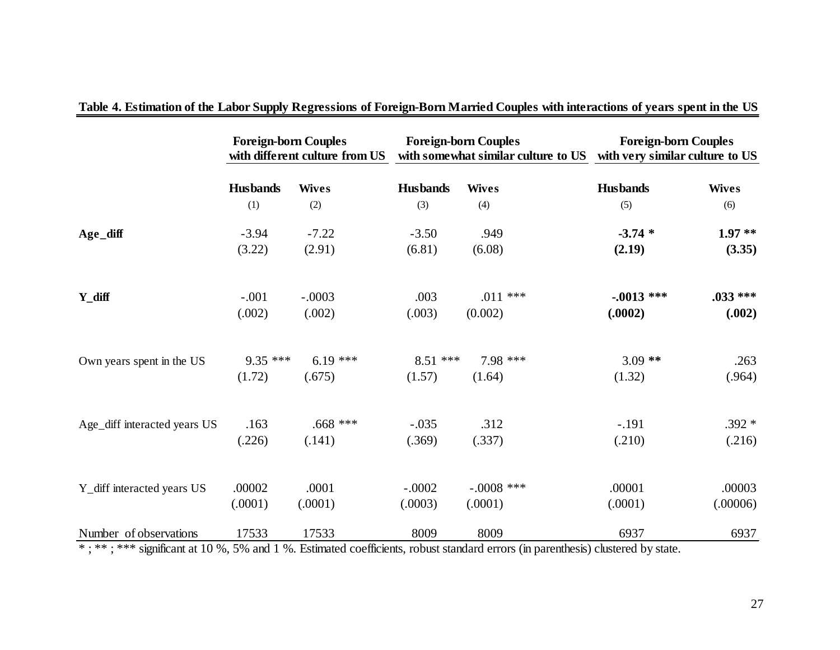|                              | <b>Foreign-born Couples</b><br>with different culture from US |                            |                                                                          | <b>Foreign-born Couples</b><br>with somewhat similar culture to US | <b>Foreign-born Couples</b><br>with very similar culture to US |              |
|------------------------------|---------------------------------------------------------------|----------------------------|--------------------------------------------------------------------------|--------------------------------------------------------------------|----------------------------------------------------------------|--------------|
|                              | <b>Husbands</b>                                               | <b>Wives</b>               | <b>Husbands</b>                                                          | <b>Wives</b>                                                       | <b>Husbands</b>                                                | <b>Wives</b> |
|                              | (1)                                                           | (2)                        | (3)                                                                      | (4)                                                                | (5)                                                            | (6)          |
| $Age\_diff$                  | $-3.94$                                                       | $-7.22$                    | $-3.50$                                                                  | .949                                                               | $-3.74*$                                                       | $1.97**$     |
|                              | (3.22)                                                        | (2.91)                     | (6.81)                                                                   | (6.08)                                                             | (2.19)                                                         | (3.35)       |
| Y_diff                       | $-.001$                                                       | $-.0003$                   | .003                                                                     | $.011$ ***                                                         | $-.0013$ ***                                                   | $.033***$    |
|                              | (.002)                                                        | (.002)                     | (.003)                                                                   | (0.002)                                                            | (.0002)                                                        | (.002)       |
| Own years spent in the US    | $9.35***$                                                     | $6.19***$                  | $8.51***$                                                                | 7.98 ***                                                           | $3.09$ **                                                      | .263         |
|                              | (1.72)                                                        | (.675)                     | (1.57)                                                                   | (1.64)                                                             | (1.32)                                                         | (.964)       |
| Age_diff interacted years US | .163                                                          | .668 ***                   | $-.035$                                                                  | .312                                                               | $-.191$                                                        | $.392 *$     |
|                              | (.226)                                                        | (.141)                     | (.369)                                                                   | (.337)                                                             | (.210)                                                         | (.216)       |
| Y_diff interacted years US   | .00002                                                        | .0001                      | $-.0002$                                                                 | $-.0008$ ***                                                       | .00001                                                         | .00003       |
|                              | (.0001)                                                       | (.0001)                    | (.0003)                                                                  | (.0001)                                                            | (.0001)                                                        | (.00006)     |
| Number of observations       | 17533                                                         | 17533<br>$\alpha$ $\alpha$ | 8009<br>$\mathbf{1}$ $\mathbf{1}$ $\mathbf{1}$ $\mathbf{1}$ $\mathbf{1}$ | 8009<br>$\sim$ $\sim$                                              | 6937<br>$A = 1$ $A = 1$ $A = 1$ $A = 1$                        | 6937         |

## **Table 4. Estimation of the Labor Supply Regressions of Foreign-Born Married Couples with interactions of years spent in the US**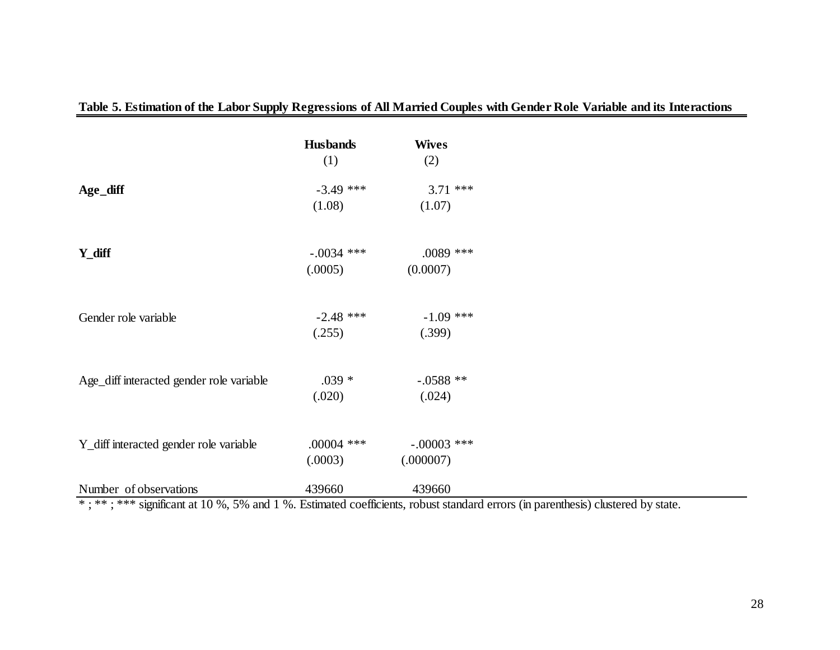|                                          | <b>Husbands</b><br>(1) | <b>Wives</b><br>(2) |
|------------------------------------------|------------------------|---------------------|
| Age_diff                                 | $-3.49$ ***            | $3.71$ ***          |
|                                          | (1.08)                 | (1.07)              |
| Y_diff                                   | $-.0034$ ***           | $.0089$ ***         |
|                                          | (.0005)                | (0.0007)            |
| Gender role variable                     | $-2.48$ ***            | $-1.09$ ***         |
|                                          | (.255)                 | (.399)              |
| Age_diff interacted gender role variable | $.039*$                | $-.0588**$          |
|                                          | (.020)                 | (.024)              |
| Y_diff interacted gender role variable   | $.00004$ ***           | $-.00003$ ***       |
|                                          | (.0003)                | (.000007)           |
| Number of observations                   | 439660                 | 439660              |

## **Table 5. Estimation of the Labor Supply Regressions of All Married Couples with Gender Role Variable and its Interactions**